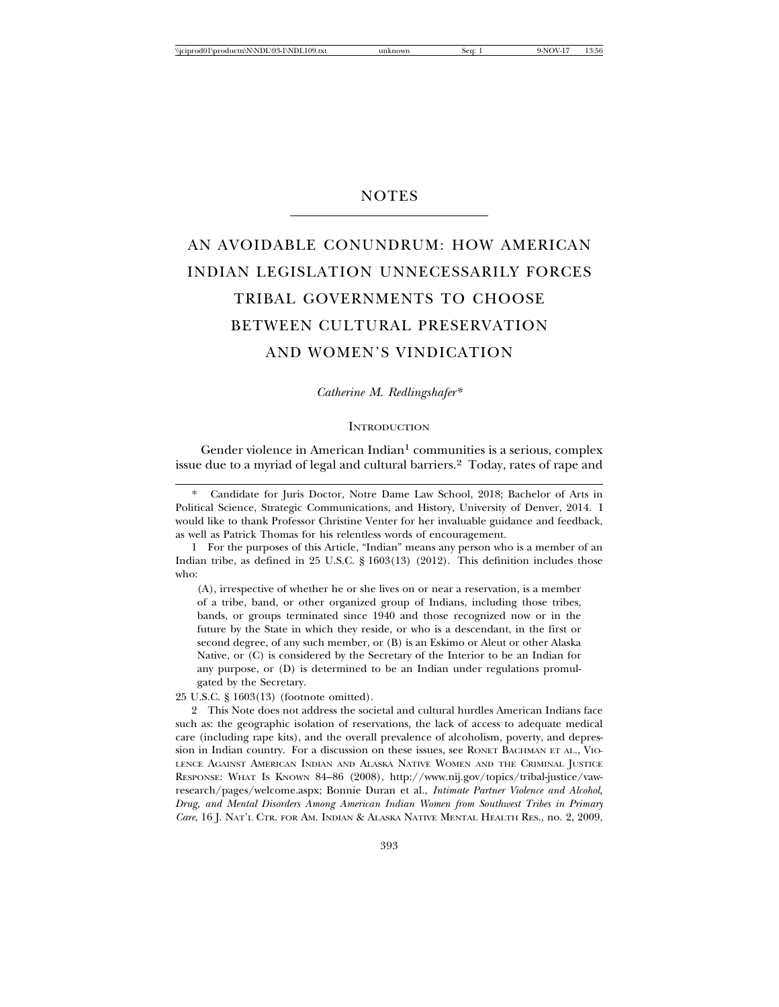# **NOTES**

# AN AVOIDABLE CONUNDRUM: HOW AMERICAN INDIAN LEGISLATION UNNECESSARILY FORCES TRIBAL GOVERNMENTS TO CHOOSE BETWEEN CULTURAL PRESERVATION AND WOMEN'S VINDICATION

*Catherine M. Redlingshafer\**

**INTRODUCTION** 

Gender violence in American Indian<sup>1</sup> communities is a serious, complex issue due to a myriad of legal and cultural barriers.<sup>2</sup> Today, rates of rape and

Candidate for Juris Doctor, Notre Dame Law School, 2018; Bachelor of Arts in Political Science, Strategic Communications, and History, University of Denver, 2014. I would like to thank Professor Christine Venter for her invaluable guidance and feedback, as well as Patrick Thomas for his relentless words of encouragement.

1 For the purposes of this Article, "Indian" means any person who is a member of an Indian tribe, as defined in 25 U.S.C. § 1603(13) (2012). This definition includes those who:

(A), irrespective of whether he or she lives on or near a reservation, is a member of a tribe, band, or other organized group of Indians, including those tribes, bands, or groups terminated since 1940 and those recognized now or in the future by the State in which they reside, or who is a descendant, in the first or second degree, of any such member, or (B) is an Eskimo or Aleut or other Alaska Native, or (C) is considered by the Secretary of the Interior to be an Indian for any purpose, or (D) is determined to be an Indian under regulations promulgated by the Secretary.

25 U.S.C. § 1603(13) (footnote omitted).

2 This Note does not address the societal and cultural hurdles American Indians face such as: the geographic isolation of reservations, the lack of access to adequate medical care (including rape kits), and the overall prevalence of alcoholism, poverty, and depression in Indian country. For a discussion on these issues, see RONET BACHMAN ET AL., VIO-LENCE AGAINST AMERICAN INDIAN AND ALASKA NATIVE WOMEN AND THE CRIMINAL JUSTICE RESPONSE: WHAT IS KNOWN 84–86 (2008), http://www.nij.gov/topics/tribal-justice/vawresearch/pages/welcome.aspx; Bonnie Duran et al., *Intimate Partner Violence and Alcohol, Drug, and Mental Disorders Among American Indian Women from Southwest Tribes in Primary Care*, 16 J. NAT'L CTR. FOR AM. INDIAN & ALASKA NATIVE MENTAL HEALTH RES., no. 2, 2009,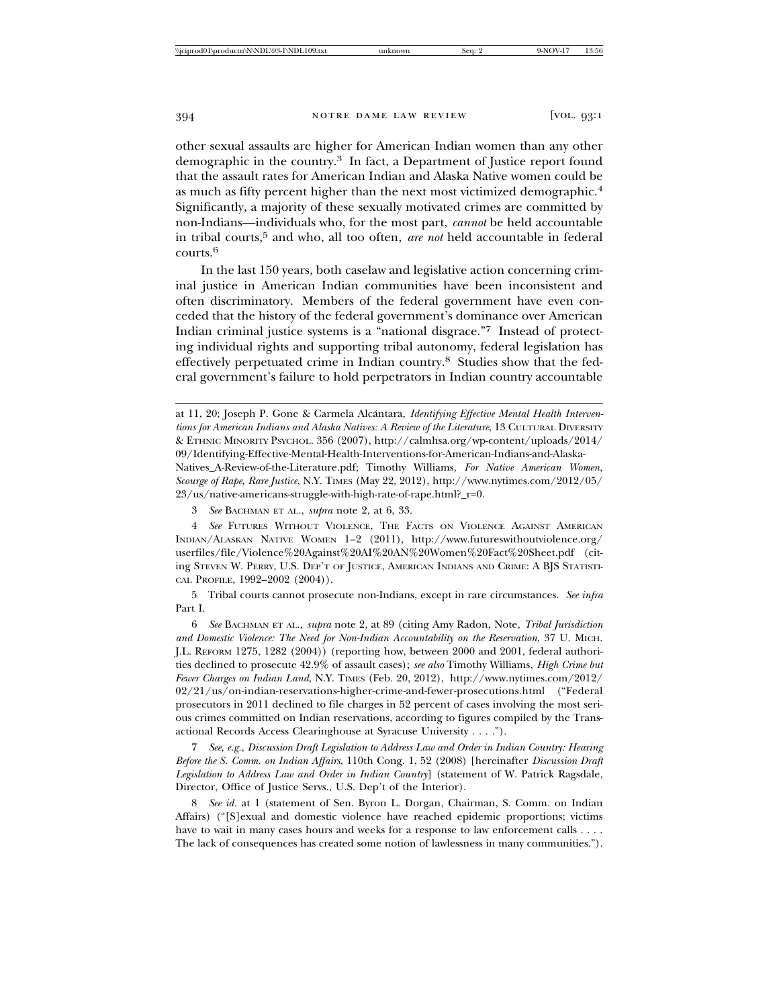other sexual assaults are higher for American Indian women than any other demographic in the country.3 In fact, a Department of Justice report found that the assault rates for American Indian and Alaska Native women could be as much as fifty percent higher than the next most victimized demographic.<sup>4</sup> Significantly, a majority of these sexually motivated crimes are committed by non-Indians—individuals who, for the most part, *cannot* be held accountable in tribal courts,5 and who, all too often, *are not* held accountable in federal courts.6

In the last 150 years, both caselaw and legislative action concerning criminal justice in American Indian communities have been inconsistent and often discriminatory. Members of the federal government have even conceded that the history of the federal government's dominance over American Indian criminal justice systems is a "national disgrace."7 Instead of protecting individual rights and supporting tribal autonomy, federal legislation has effectively perpetuated crime in Indian country.8 Studies show that the federal government's failure to hold perpetrators in Indian country accountable

3 *See* BACHMAN ET AL., *supra* note 2, at 6, 33.

4 *See* FUTURES WITHOUT VIOLENCE, THE FACTS ON VIOLENCE AGAINST AMERICAN INDIAN/ALASKAN NATIVE WOMEN 1–2 (2011), http://www.futureswithoutviolence.org/ userfiles/file/Violence%20Against%20AI%20AN%20Women%20Fact%20Sheet.pdf (citing STEVEN W. PERRY, U.S. DEP'T OF JUSTICE, AMERICAN INDIANS AND CRIME: A BJS STATISTI-CAL PROFILE, 1992–2002 (2004)).

5 Tribal courts cannot prosecute non-Indians, except in rare circumstances. *See infra* Part I.

6 *See* BACHMAN ET AL., *supra* note 2, at 89 (citing Amy Radon, Note, *Tribal Jurisdiction and Domestic Violence: The Need for Non-Indian Accountability on the Reservation*, 37 U. MICH. J.L. REFORM 1275, 1282 (2004)) (reporting how, between 2000 and 2001, federal authorities declined to prosecute 42.9% of assault cases); *see also* Timothy Williams, *High Crime but Fewer Charges on Indian Land*, N.Y. TIMES (Feb. 20, 2012), http://www.nytimes.com/2012/ 02/21/us/on-indian-reservations-higher-crime-and-fewer-prosecutions.html ("Federal prosecutors in 2011 declined to file charges in 52 percent of cases involving the most serious crimes committed on Indian reservations, according to figures compiled by the Transactional Records Access Clearinghouse at Syracuse University . . . .").

7 *See, e.g.*, *Discussion Draft Legislation to Address Law and Order in Indian Country: Hearing Before the S. Comm. on Indian Affairs*, 110th Cong. 1, 52 (2008) [hereinafter *Discussion Draft Legislation to Address Law and Order in Indian Country*] (statement of W. Patrick Ragsdale, Director, Office of Justice Servs., U.S. Dep't of the Interior).

8 *See id.* at 1 (statement of Sen. Byron L. Dorgan, Chairman, S. Comm. on Indian Affairs) ("[S]exual and domestic violence have reached epidemic proportions; victims have to wait in many cases hours and weeks for a response to law enforcement calls . . . . The lack of consequences has created some notion of lawlessness in many communities.").

at 11, 20; Joseph P. Gone & Carmela Alcántara, *Identifying Effective Mental Health Interventions for American Indians and Alaska Natives: A Review of the Literature*, 13 CULTURAL DIVERSITY & ETHNIC MINORITY PSYCHOL. 356 (2007), http://calmhsa.org/wp-content/uploads/2014/ 09/Identifying-Effective-Mental-Health-Interventions-for-American-Indians-and-Alaska-Natives\_A-Review-of-the-Literature.pdf; Timothy Williams, *For Native American Women, Scourge of Rape, Rare Justice*, N.Y. TIMES (May 22, 2012), http://www.nytimes.com/2012/05/ 23/us/native-americans-struggle-with-high-rate-of-rape.html?\_r=0.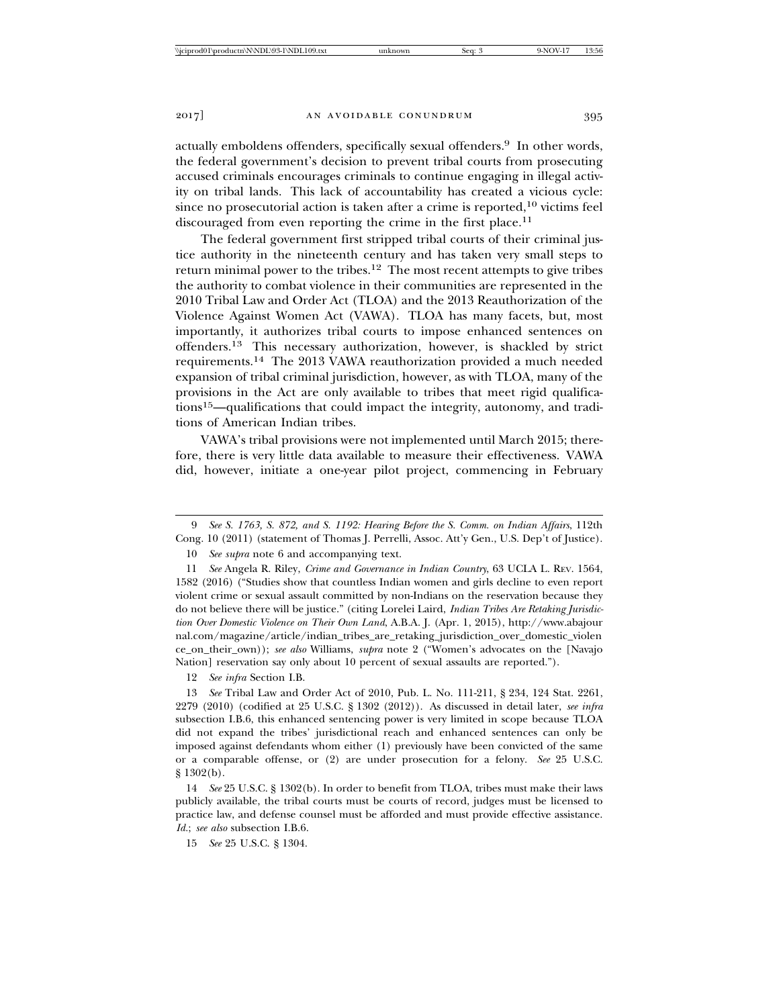actually emboldens offenders, specifically sexual offenders.9 In other words, the federal government's decision to prevent tribal courts from prosecuting accused criminals encourages criminals to continue engaging in illegal activity on tribal lands. This lack of accountability has created a vicious cycle: since no prosecutorial action is taken after a crime is reported, $10$  victims feel discouraged from even reporting the crime in the first place.<sup>11</sup>

The federal government first stripped tribal courts of their criminal justice authority in the nineteenth century and has taken very small steps to return minimal power to the tribes.<sup>12</sup> The most recent attempts to give tribes the authority to combat violence in their communities are represented in the 2010 Tribal Law and Order Act (TLOA) and the 2013 Reauthorization of the Violence Against Women Act (VAWA). TLOA has many facets, but, most importantly, it authorizes tribal courts to impose enhanced sentences on offenders.13 This necessary authorization, however, is shackled by strict requirements.14 The 2013 VAWA reauthorization provided a much needed expansion of tribal criminal jurisdiction, however, as with TLOA, many of the provisions in the Act are only available to tribes that meet rigid qualifications15—qualifications that could impact the integrity, autonomy, and traditions of American Indian tribes.

VAWA's tribal provisions were not implemented until March 2015; therefore, there is very little data available to measure their effectiveness. VAWA did, however, initiate a one-year pilot project, commencing in February

11 *See* Angela R. Riley, *Crime and Governance in Indian Country*, 63 UCLA L. REV. 1564, 1582 (2016) ("Studies show that countless Indian women and girls decline to even report violent crime or sexual assault committed by non-Indians on the reservation because they do not believe there will be justice." (citing Lorelei Laird, *Indian Tribes Are Retaking Jurisdiction Over Domestic Violence on Their Own Land*, A.B.A. J. (Apr. 1, 2015), http://www.abajour nal.com/magazine/article/indian\_tribes\_are\_retaking\_jurisdiction\_over\_domestic\_violen ce\_on\_their\_own)); *see also* Williams, *supra* note 2 ("Women's advocates on the [Navajo Nation] reservation say only about 10 percent of sexual assaults are reported.").

12 *See infra* Section I.B.

13 *See* Tribal Law and Order Act of 2010, Pub. L. No. 111-211, § 234, 124 Stat. 2261, 2279 (2010) (codified at 25 U.S.C. § 1302 (2012)). As discussed in detail later, *see infra* subsection I.B.6, this enhanced sentencing power is very limited in scope because TLOA did not expand the tribes' jurisdictional reach and enhanced sentences can only be imposed against defendants whom either (1) previously have been convicted of the same or a comparable offense, or (2) are under prosecution for a felony. *See* 25 U.S.C. § 1302(b).

14 *See* 25 U.S.C. § 1302(b). In order to benefit from TLOA, tribes must make their laws publicly available, the tribal courts must be courts of record, judges must be licensed to practice law, and defense counsel must be afforded and must provide effective assistance. *Id.*; *see also* subsection I.B.6.

15 *See* 25 U.S.C. § 1304.

<sup>9</sup> *See S. 1763, S. 872, and S. 1192: Hearing Before the S. Comm. on Indian Affairs*, 112th Cong. 10 (2011) (statement of Thomas J. Perrelli, Assoc. Att'y Gen., U.S. Dep't of Justice).

<sup>10</sup> *See supra* note 6 and accompanying text.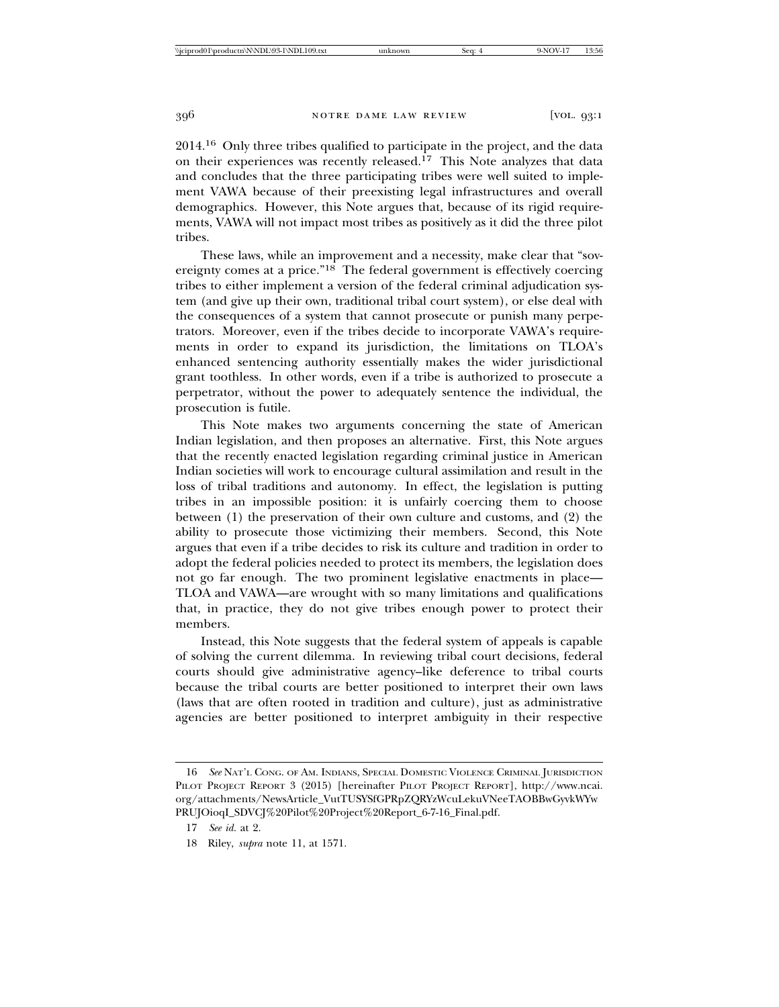2014.16 Only three tribes qualified to participate in the project, and the data on their experiences was recently released.<sup>17</sup> This Note analyzes that data and concludes that the three participating tribes were well suited to implement VAWA because of their preexisting legal infrastructures and overall demographics. However, this Note argues that, because of its rigid requirements, VAWA will not impact most tribes as positively as it did the three pilot tribes.

These laws, while an improvement and a necessity, make clear that "sovereignty comes at a price."18 The federal government is effectively coercing tribes to either implement a version of the federal criminal adjudication system (and give up their own, traditional tribal court system), or else deal with the consequences of a system that cannot prosecute or punish many perpetrators. Moreover, even if the tribes decide to incorporate VAWA's requirements in order to expand its jurisdiction, the limitations on TLOA's enhanced sentencing authority essentially makes the wider jurisdictional grant toothless. In other words, even if a tribe is authorized to prosecute a perpetrator, without the power to adequately sentence the individual, the prosecution is futile.

This Note makes two arguments concerning the state of American Indian legislation, and then proposes an alternative. First, this Note argues that the recently enacted legislation regarding criminal justice in American Indian societies will work to encourage cultural assimilation and result in the loss of tribal traditions and autonomy. In effect, the legislation is putting tribes in an impossible position: it is unfairly coercing them to choose between (1) the preservation of their own culture and customs, and (2) the ability to prosecute those victimizing their members. Second, this Note argues that even if a tribe decides to risk its culture and tradition in order to adopt the federal policies needed to protect its members, the legislation does not go far enough. The two prominent legislative enactments in place— TLOA and VAWA—are wrought with so many limitations and qualifications that, in practice, they do not give tribes enough power to protect their members.

Instead, this Note suggests that the federal system of appeals is capable of solving the current dilemma. In reviewing tribal court decisions, federal courts should give administrative agency–like deference to tribal courts because the tribal courts are better positioned to interpret their own laws (laws that are often rooted in tradition and culture), just as administrative agencies are better positioned to interpret ambiguity in their respective

<sup>16</sup> *See* NAT'L CONG. OF AM. INDIANS, SPECIAL DOMESTIC VIOLENCE CRIMINAL JURISDICTION PILOT PROJECT REPORT 3 (2015) [hereinafter PILOT PROJECT REPORT], http://www.ncai. org/attachments/NewsArticle\_VutTUSYSfGPRpZQRYzWcuLekuVNeeTAOBBwGyvkWYw PRUJOioqI\_SDVCJ%20Pilot%20Project%20Report\_6-7-16\_Final.pdf.

<sup>17</sup> *See id.* at 2.

<sup>18</sup> Riley, *supra* note 11, at 1571.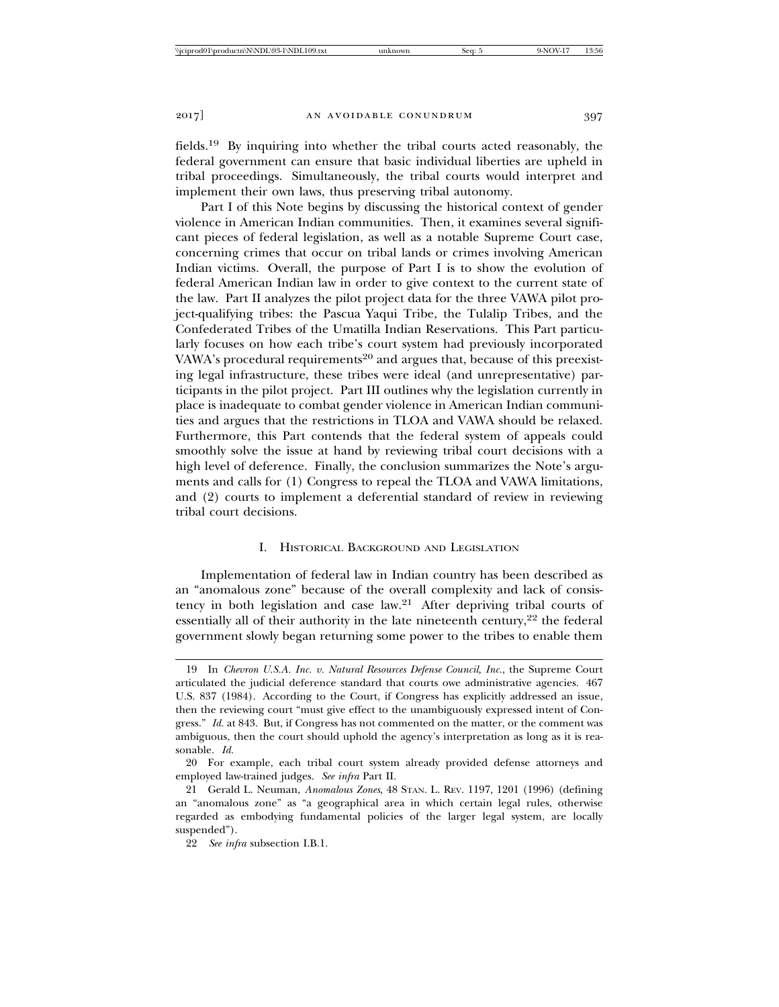fields.19 By inquiring into whether the tribal courts acted reasonably, the federal government can ensure that basic individual liberties are upheld in tribal proceedings. Simultaneously, the tribal courts would interpret and implement their own laws, thus preserving tribal autonomy.

Part I of this Note begins by discussing the historical context of gender violence in American Indian communities. Then, it examines several significant pieces of federal legislation, as well as a notable Supreme Court case, concerning crimes that occur on tribal lands or crimes involving American Indian victims. Overall, the purpose of Part I is to show the evolution of federal American Indian law in order to give context to the current state of the law. Part II analyzes the pilot project data for the three VAWA pilot project-qualifying tribes: the Pascua Yaqui Tribe, the Tulalip Tribes, and the Confederated Tribes of the Umatilla Indian Reservations. This Part particularly focuses on how each tribe's court system had previously incorporated VAWA's procedural requirements<sup>20</sup> and argues that, because of this preexisting legal infrastructure, these tribes were ideal (and unrepresentative) participants in the pilot project. Part III outlines why the legislation currently in place is inadequate to combat gender violence in American Indian communities and argues that the restrictions in TLOA and VAWA should be relaxed. Furthermore, this Part contends that the federal system of appeals could smoothly solve the issue at hand by reviewing tribal court decisions with a high level of deference. Finally, the conclusion summarizes the Note's arguments and calls for (1) Congress to repeal the TLOA and VAWA limitations, and (2) courts to implement a deferential standard of review in reviewing tribal court decisions.

#### I. HISTORICAL BACKGROUND AND LEGISLATION

Implementation of federal law in Indian country has been described as an "anomalous zone" because of the overall complexity and lack of consistency in both legislation and case law.21 After depriving tribal courts of essentially all of their authority in the late nineteenth century,<sup>22</sup> the federal government slowly began returning some power to the tribes to enable them

<sup>19</sup> In *Chevron U.S.A. Inc. v. Natural Resources Defense Council, Inc.*, the Supreme Court articulated the judicial deference standard that courts owe administrative agencies. 467 U.S. 837 (1984). According to the Court, if Congress has explicitly addressed an issue, then the reviewing court "must give effect to the unambiguously expressed intent of Congress." *Id.* at 843. But, if Congress has not commented on the matter, or the comment was ambiguous, then the court should uphold the agency's interpretation as long as it is reasonable. *Id.*

<sup>20</sup> For example, each tribal court system already provided defense attorneys and employed law-trained judges. *See infra* Part II.

<sup>21</sup> Gerald L. Neuman, *Anomalous Zones*, 48 STAN. L. REV. 1197, 1201 (1996) (defining an "anomalous zone" as "a geographical area in which certain legal rules, otherwise regarded as embodying fundamental policies of the larger legal system, are locally suspended").

<sup>22</sup> *See infra* subsection I.B.1.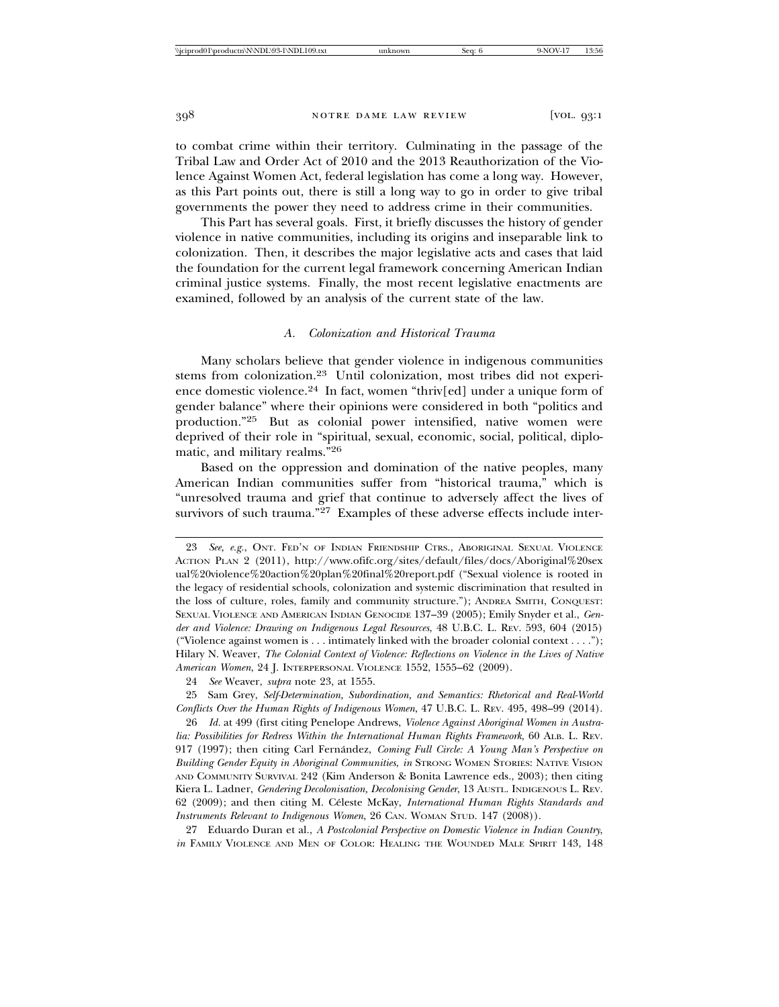to combat crime within their territory. Culminating in the passage of the Tribal Law and Order Act of 2010 and the 2013 Reauthorization of the Violence Against Women Act, federal legislation has come a long way. However, as this Part points out, there is still a long way to go in order to give tribal governments the power they need to address crime in their communities.

This Part has several goals. First, it briefly discusses the history of gender violence in native communities, including its origins and inseparable link to colonization. Then, it describes the major legislative acts and cases that laid the foundation for the current legal framework concerning American Indian criminal justice systems. Finally, the most recent legislative enactments are examined, followed by an analysis of the current state of the law.

# *A. Colonization and Historical Trauma*

Many scholars believe that gender violence in indigenous communities stems from colonization.23 Until colonization, most tribes did not experience domestic violence.24 In fact, women "thriv[ed] under a unique form of gender balance" where their opinions were considered in both "politics and production."25 But as colonial power intensified, native women were deprived of their role in "spiritual, sexual, economic, social, political, diplomatic, and military realms."<sup>26</sup>

Based on the oppression and domination of the native peoples, many American Indian communities suffer from "historical trauma," which is "unresolved trauma and grief that continue to adversely affect the lives of survivors of such trauma."<sup>27</sup> Examples of these adverse effects include inter-

27 Eduardo Duran et al., *A Postcolonial Perspective on Domestic Violence in Indian Country*, *in* FAMILY VIOLENCE AND MEN OF COLOR: HEALING THE WOUNDED MALE SPIRIT 143, 148

<sup>23</sup> *See, e.g.*, ONT. FED'N OF INDIAN FRIENDSHIP CTRS., ABORIGINAL SEXUAL VIOLENCE ACTION PLAN 2 (2011), http://www.ofifc.org/sites/default/files/docs/Aboriginal%20sex ual%20violence%20action%20plan%20final%20report.pdf ("Sexual violence is rooted in the legacy of residential schools, colonization and systemic discrimination that resulted in the loss of culture, roles, family and community structure."); ANDREA SMITH, CONQUEST: SEXUAL VIOLENCE AND AMERICAN INDIAN GENOCIDE 137–39 (2005); Emily Snyder et al., *Gender and Violence: Drawing on Indigenous Legal Resources*, 48 U.B.C. L. REV. 593, 604 (2015) ("Violence against women is . . . intimately linked with the broader colonial context . . . ."); Hilary N. Weaver, *The Colonial Context of Violence: Reflections on Violence in the Lives of Native American Women*, 24 J. INTERPERSONAL VIOLENCE 1552, 1555–62 (2009).

<sup>24</sup> *See* Weaver, *supra* note 23, at 1555.

<sup>25</sup> Sam Grey, *Self-Determination, Subordination, and Semantics: Rhetorical and Real-World Conflicts Over the Human Rights of Indigenous Women*, 47 U.B.C. L. REV. 495, 498–99 (2014).

<sup>26</sup> *Id.* at 499 (first citing Penelope Andrews, *Violence Against Aboriginal Women in Australia: Possibilities for Redress Within the International Human Rights Framework*, 60 ALB. L. REV. 917 (1997); then citing Carl Fernández, *Coming Full Circle: A Young Man's Perspective on Building Gender Equity in Aboriginal Communities*, *in* STRONG WOMEN STORIES: NATIVE VISION AND COMMUNITY SURVIVAL 242 (Kim Anderson & Bonita Lawrence eds., 2003); then citing Kiera L. Ladner, *Gendering Decolonisation, Decolonising Gender*, 13 AUSTL. INDIGENOUS L. REV. 62 (2009); and then citing M. Céleste McKay, *International Human Rights Standards and Instruments Relevant to Indigenous Women*, 26 CAN. WOMAN STUD. 147 (2008)).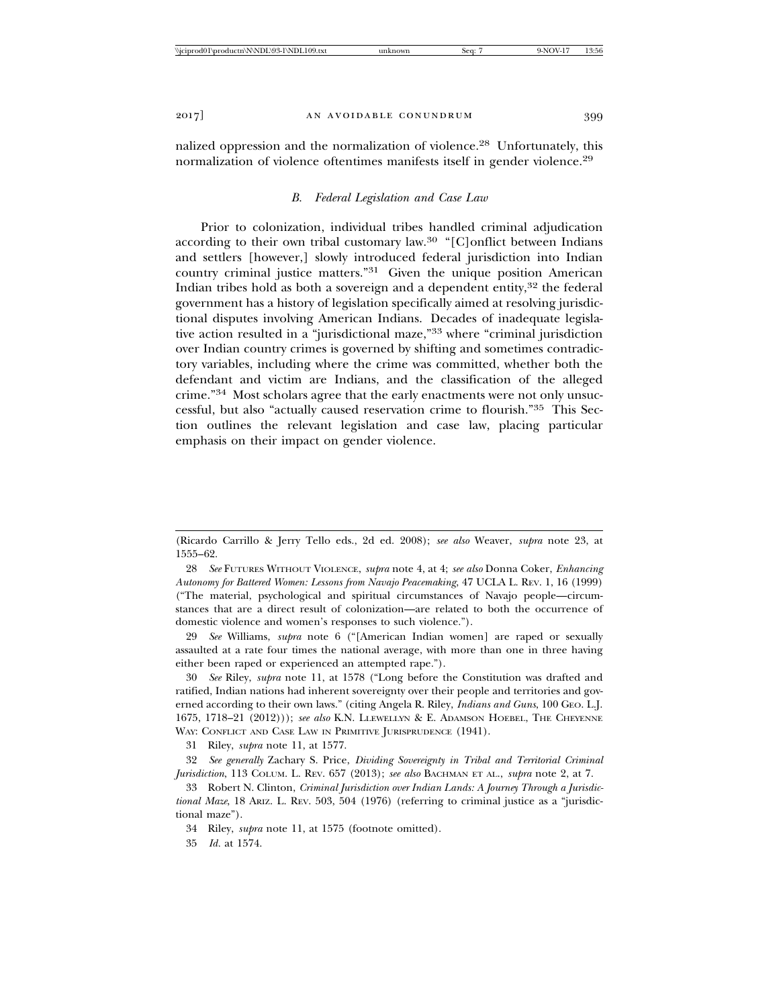nalized oppression and the normalization of violence.28 Unfortunately, this normalization of violence oftentimes manifests itself in gender violence.<sup>29</sup>

#### *B. Federal Legislation and Case Law*

Prior to colonization, individual tribes handled criminal adjudication according to their own tribal customary law.30 "[C]onflict between Indians and settlers [however,] slowly introduced federal jurisdiction into Indian country criminal justice matters."31 Given the unique position American Indian tribes hold as both a sovereign and a dependent entity,<sup>32</sup> the federal government has a history of legislation specifically aimed at resolving jurisdictional disputes involving American Indians. Decades of inadequate legislative action resulted in a "jurisdictional maze,"33 where "criminal jurisdiction over Indian country crimes is governed by shifting and sometimes contradictory variables, including where the crime was committed, whether both the defendant and victim are Indians, and the classification of the alleged crime."34 Most scholars agree that the early enactments were not only unsuccessful, but also "actually caused reservation crime to flourish."35 This Section outlines the relevant legislation and case law, placing particular emphasis on their impact on gender violence.

29 *See* Williams, *supra* note 6 ("[American Indian women] are raped or sexually assaulted at a rate four times the national average, with more than one in three having either been raped or experienced an attempted rape.").

30 *See* Riley, *supra* note 11, at 1578 ("Long before the Constitution was drafted and ratified, Indian nations had inherent sovereignty over their people and territories and governed according to their own laws." (citing Angela R. Riley, *Indians and Guns*, 100 GEO. L.J. 1675, 1718–21 (2012))); *see also* K.N. LLEWELLYN & E. ADAMSON HOEBEL, THE CHEYENNE WAY: CONFLICT AND CASE LAW IN PRIMITIVE JURISPRUDENCE (1941).

31 Riley, *supra* note 11, at 1577.

32 *See generally* Zachary S. Price, *Dividing Sovereignty in Tribal and Territorial Criminal Jurisdiction*, 113 COLUM. L. REV. 657 (2013); *see also* BACHMAN ET AL., *supra* note 2, at 7.

33 Robert N. Clinton, *Criminal Jurisdiction over Indian Lands: A Journey Through a Jurisdictional Maze*, 18 ARIZ. L. REV. 503, 504 (1976) (referring to criminal justice as a "jurisdictional maze").

<sup>(</sup>Ricardo Carrillo & Jerry Tello eds., 2d ed. 2008); *see also* Weaver, *supra* note 23, at 1555–62.

<sup>28</sup> *See* FUTURES WITHOUT VIOLENCE, *supra* note 4, at 4; *see also* Donna Coker, *Enhancing Autonomy for Battered Women: Lessons from Navajo Peacemaking*, 47 UCLA L. REV. 1, 16 (1999) ("The material, psychological and spiritual circumstances of Navajo people—circumstances that are a direct result of colonization—are related to both the occurrence of domestic violence and women's responses to such violence.").

<sup>34</sup> Riley, *supra* note 11, at 1575 (footnote omitted).

<sup>35</sup> *Id.* at 1574.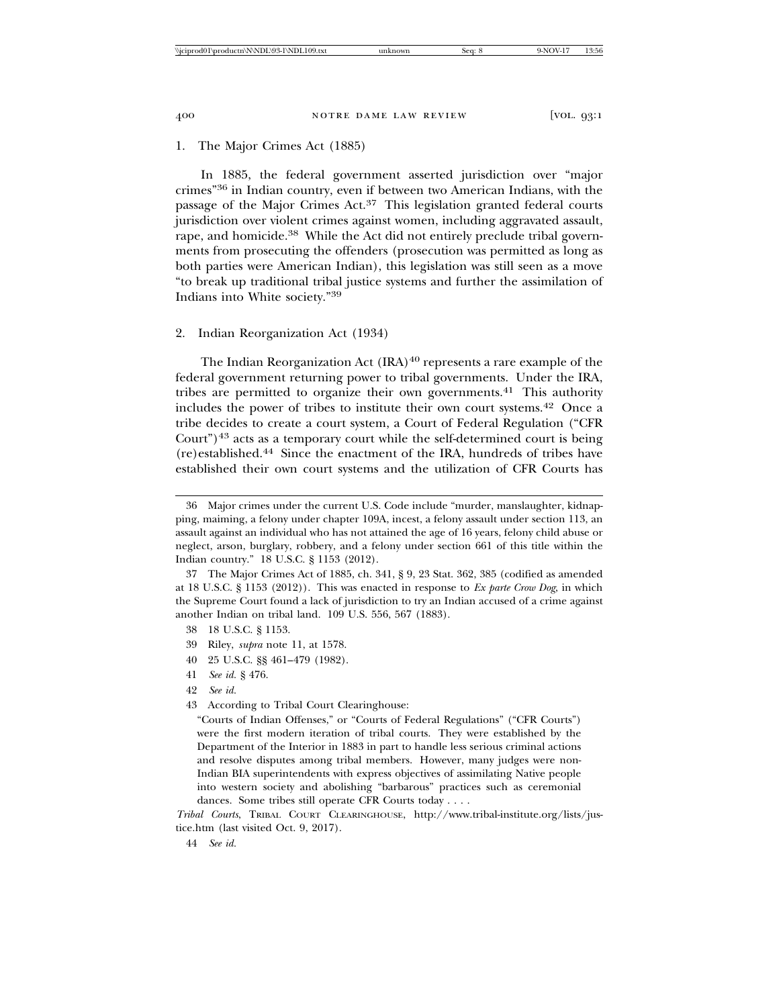# 1. The Major Crimes Act (1885)

In 1885, the federal government asserted jurisdiction over "major crimes"36 in Indian country, even if between two American Indians, with the passage of the Major Crimes Act.<sup>37</sup> This legislation granted federal courts jurisdiction over violent crimes against women, including aggravated assault, rape, and homicide.<sup>38</sup> While the Act did not entirely preclude tribal governments from prosecuting the offenders (prosecution was permitted as long as both parties were American Indian), this legislation was still seen as a move "to break up traditional tribal justice systems and further the assimilation of Indians into White society."<sup>39</sup>

### 2. Indian Reorganization Act (1934)

The Indian Reorganization Act  $(IRA)^{40}$  represents a rare example of the federal government returning power to tribal governments. Under the IRA, tribes are permitted to organize their own governments.<sup>41</sup> This authority includes the power of tribes to institute their own court systems.42 Once a tribe decides to create a court system, a Court of Federal Regulation ("CFR Court") $43$  acts as a temporary court while the self-determined court is being (re)established.44 Since the enactment of the IRA, hundreds of tribes have established their own court systems and the utilization of CFR Courts has

- 39 Riley, *supra* note 11, at 1578.
- 40 25 U.S.C. §§ 461–479 (1982).
- 41 *See id.* § 476.

*Tribal Courts*, TRIBAL COURT CLEARINGHOUSE, http://www.tribal-institute.org/lists/justice.htm (last visited Oct. 9, 2017).

<sup>36</sup> Major crimes under the current U.S. Code include "murder, manslaughter, kidnapping, maiming, a felony under chapter 109A, incest, a felony assault under section 113, an assault against an individual who has not attained the age of 16 years, felony child abuse or neglect, arson, burglary, robbery, and a felony under section 661 of this title within the Indian country." 18 U.S.C. § 1153 (2012).

<sup>37</sup> The Major Crimes Act of 1885, ch. 341, § 9, 23 Stat. 362, 385 (codified as amended at 18 U.S.C. § 1153 (2012)). This was enacted in response to *Ex parte Crow Dog*, in which the Supreme Court found a lack of jurisdiction to try an Indian accused of a crime against another Indian on tribal land. 109 U.S. 556, 567 (1883).

<sup>38 18</sup> U.S.C. § 1153.

<sup>42</sup> *See id.*

<sup>43</sup> According to Tribal Court Clearinghouse:

<sup>&</sup>quot;Courts of Indian Offenses," or "Courts of Federal Regulations" ("CFR Courts") were the first modern iteration of tribal courts. They were established by the Department of the Interior in 1883 in part to handle less serious criminal actions and resolve disputes among tribal members. However, many judges were non-Indian BIA superintendents with express objectives of assimilating Native people into western society and abolishing "barbarous" practices such as ceremonial dances. Some tribes still operate CFR Courts today . . . .

<sup>44</sup> *See id.*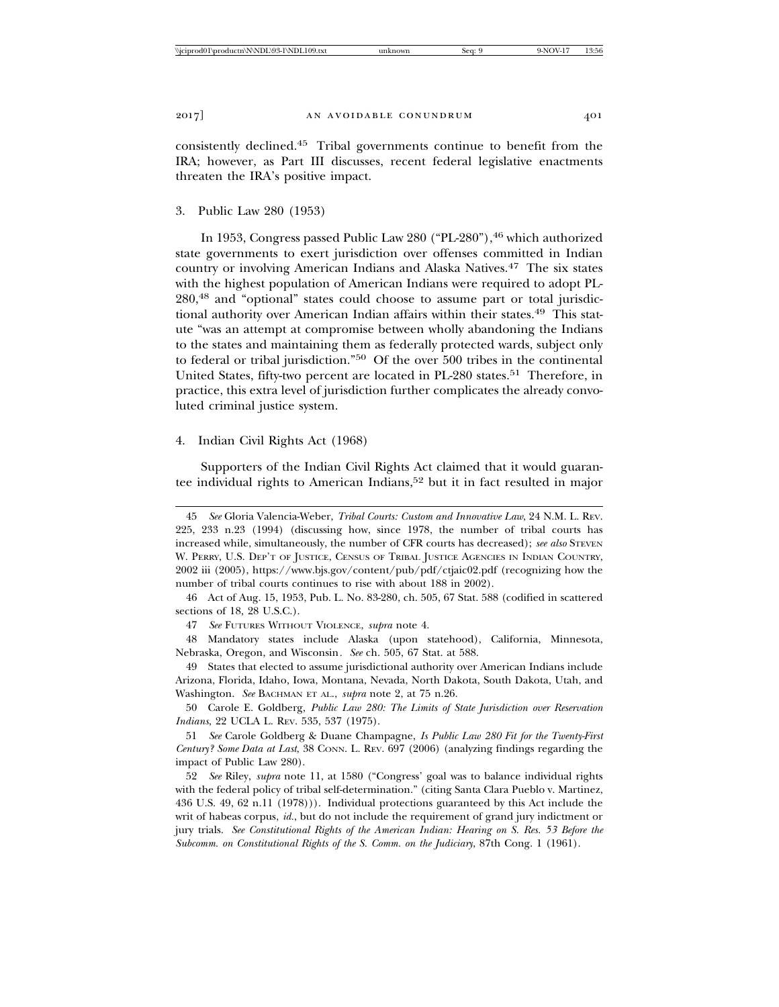consistently declined.45 Tribal governments continue to benefit from the IRA; however, as Part III discusses, recent federal legislative enactments threaten the IRA's positive impact.

#### 3. Public Law 280 (1953)

In 1953, Congress passed Public Law 280 ("PL-280"), <sup>46</sup> which authorized state governments to exert jurisdiction over offenses committed in Indian country or involving American Indians and Alaska Natives.47 The six states with the highest population of American Indians were required to adopt PL-280,48 and "optional" states could choose to assume part or total jurisdictional authority over American Indian affairs within their states.<sup>49</sup> This statute "was an attempt at compromise between wholly abandoning the Indians to the states and maintaining them as federally protected wards, subject only to federal or tribal jurisdiction."50 Of the over 500 tribes in the continental United States, fifty-two percent are located in PL-280 states.<sup>51</sup> Therefore, in practice, this extra level of jurisdiction further complicates the already convoluted criminal justice system.

#### 4. Indian Civil Rights Act (1968)

Supporters of the Indian Civil Rights Act claimed that it would guarantee individual rights to American Indians,<sup>52</sup> but it in fact resulted in major

<sup>45</sup> *See* Gloria Valencia-Weber, *Tribal Courts: Custom and Innovative Law*, 24 N.M. L. REV. 225, 233 n.23 (1994) (discussing how, since 1978, the number of tribal courts has increased while, simultaneously, the number of CFR courts has decreased); *see also* STEVEN W. PERRY, U.S. DEP'T OF JUSTICE, CENSUS OF TRIBAL JUSTICE AGENCIES IN INDIAN COUNTRY, 2002 iii (2005), https://www.bjs.gov/content/pub/pdf/ctjaic02.pdf (recognizing how the number of tribal courts continues to rise with about 188 in 2002).

<sup>46</sup> Act of Aug. 15, 1953, Pub. L. No. 83-280, ch. 505, 67 Stat. 588 (codified in scattered sections of 18, 28 U.S.C.).

<sup>47</sup> *See* FUTURES WITHOUT VIOLENCE, *supra* note 4.

<sup>48</sup> Mandatory states include Alaska (upon statehood), California, Minnesota, Nebraska, Oregon, and Wisconsin*. See* ch. 505, 67 Stat. at 588.

<sup>49</sup> States that elected to assume jurisdictional authority over American Indians include Arizona, Florida, Idaho, Iowa, Montana, Nevada, North Dakota, South Dakota, Utah, and Washington. *See* BACHMAN ET AL., *supra* note 2, at 75 n.26.

<sup>50</sup> Carole E. Goldberg, *Public Law 280: The Limits of State Jurisdiction over Reservation Indians*, 22 UCLA L. REV. 535, 537 (1975).

<sup>51</sup> *See* Carole Goldberg & Duane Champagne, *Is Public Law 280 Fit for the Twenty-First Century? Some Data at Last*, 38 CONN. L. REV. 697 (2006) (analyzing findings regarding the impact of Public Law 280).

<sup>52</sup> *See* Riley, *supra* note 11, at 1580 ("Congress' goal was to balance individual rights with the federal policy of tribal self-determination." (citing Santa Clara Pueblo v. Martinez, 436 U.S. 49, 62 n.11 (1978))). Individual protections guaranteed by this Act include the writ of habeas corpus, *id.*, but do not include the requirement of grand jury indictment or jury trials. *See Constitutional Rights of the American Indian: Hearing on S. Res. 53 Before the Subcomm. on Constitutional Rights of the S. Comm. on the Judiciary*, 87th Cong. 1 (1961).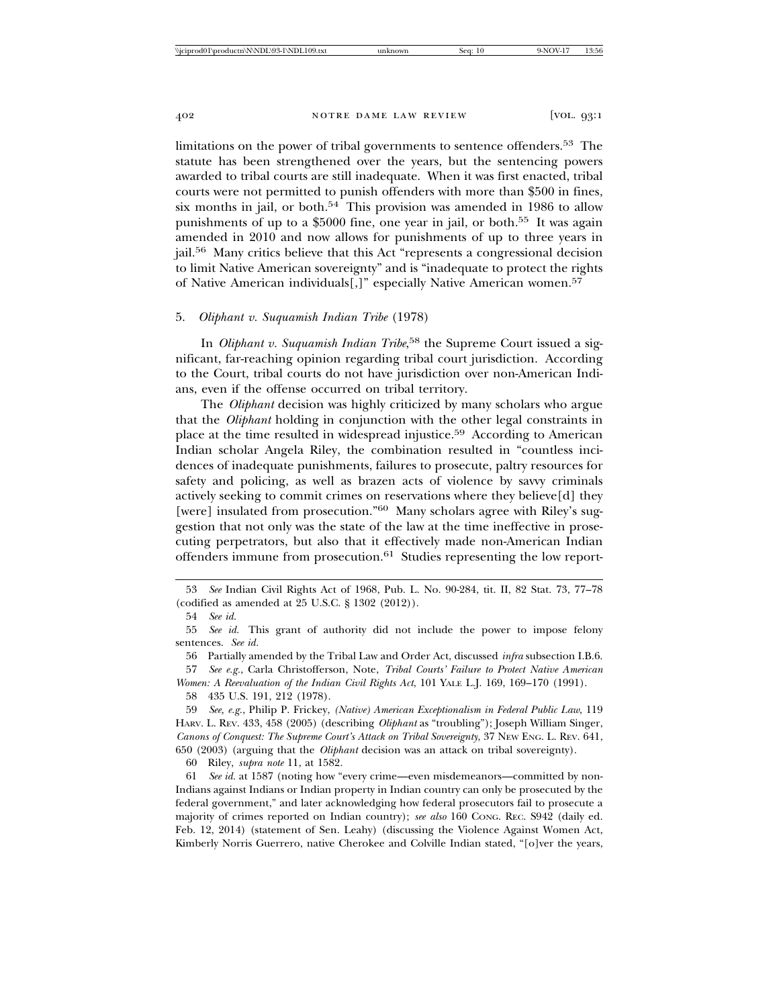limitations on the power of tribal governments to sentence offenders.53 The statute has been strengthened over the years, but the sentencing powers awarded to tribal courts are still inadequate. When it was first enacted, tribal courts were not permitted to punish offenders with more than \$500 in fines, six months in jail, or both.<sup>54</sup> This provision was amended in 1986 to allow punishments of up to a \$5000 fine, one year in jail, or both.<sup>55</sup> It was again amended in 2010 and now allows for punishments of up to three years in jail.56 Many critics believe that this Act "represents a congressional decision to limit Native American sovereignty" and is "inadequate to protect the rights of Native American individuals[,]" especially Native American women.<sup>57</sup>

# 5. *Oliphant v. Suquamish Indian Tribe* (1978)

In *Oliphant v. Suquamish Indian Tribe*, 58 the Supreme Court issued a significant, far-reaching opinion regarding tribal court jurisdiction. According to the Court, tribal courts do not have jurisdiction over non-American Indians, even if the offense occurred on tribal territory.

The *Oliphant* decision was highly criticized by many scholars who argue that the *Oliphant* holding in conjunction with the other legal constraints in place at the time resulted in widespread injustice.<sup>59</sup> According to American Indian scholar Angela Riley, the combination resulted in "countless incidences of inadequate punishments, failures to prosecute, paltry resources for safety and policing, as well as brazen acts of violence by savvy criminals actively seeking to commit crimes on reservations where they believe[d] they [were] insulated from prosecution."<sup>60</sup> Many scholars agree with Riley's suggestion that not only was the state of the law at the time ineffective in prosecuting perpetrators, but also that it effectively made non-American Indian offenders immune from prosecution.61 Studies representing the low report-

56 Partially amended by the Tribal Law and Order Act, discussed *infra* subsection I.B.6.

57 *See e.g.*, Carla Christofferson, Note, *Tribal Courts' Failure to Protect Native American*

*Women: A Reevaluation of the Indian Civil Rights Act*, 101 YALE L.J. 169, 169–170 (1991).

58 435 U.S. 191, 212 (1978).

60 Riley, *supra note* 11, at 1582.

61 *See id.* at 1587 (noting how "every crime—even misdemeanors—committed by non-Indians against Indians or Indian property in Indian country can only be prosecuted by the federal government," and later acknowledging how federal prosecutors fail to prosecute a majority of crimes reported on Indian country); *see also* 160 CONG. REC. S942 (daily ed. Feb. 12, 2014) (statement of Sen. Leahy) (discussing the Violence Against Women Act, Kimberly Norris Guerrero, native Cherokee and Colville Indian stated, "[o]ver the years,

<sup>53</sup> *See* Indian Civil Rights Act of 1968, Pub. L. No. 90-284, tit. II, 82 Stat. 73, 77–78 (codified as amended at 25 U.S.C. § 1302 (2012)).

<sup>54</sup> *See id.*

<sup>55</sup> *See id.* This grant of authority did not include the power to impose felony sentences. *See id.*

<sup>59</sup> *See, e.g.*, Philip P. Frickey, *(Native) American Exceptionalism in Federal Public Law*, 119 HARV. L. REV. 433, 458 (2005) (describing *Oliphant* as "troubling"); Joseph William Singer, *Canons of Conquest: The Supreme Court's Attack on Tribal Sovereignty*, 37 NEW ENG. L. REV. 641, 650 (2003) (arguing that the *Oliphant* decision was an attack on tribal sovereignty).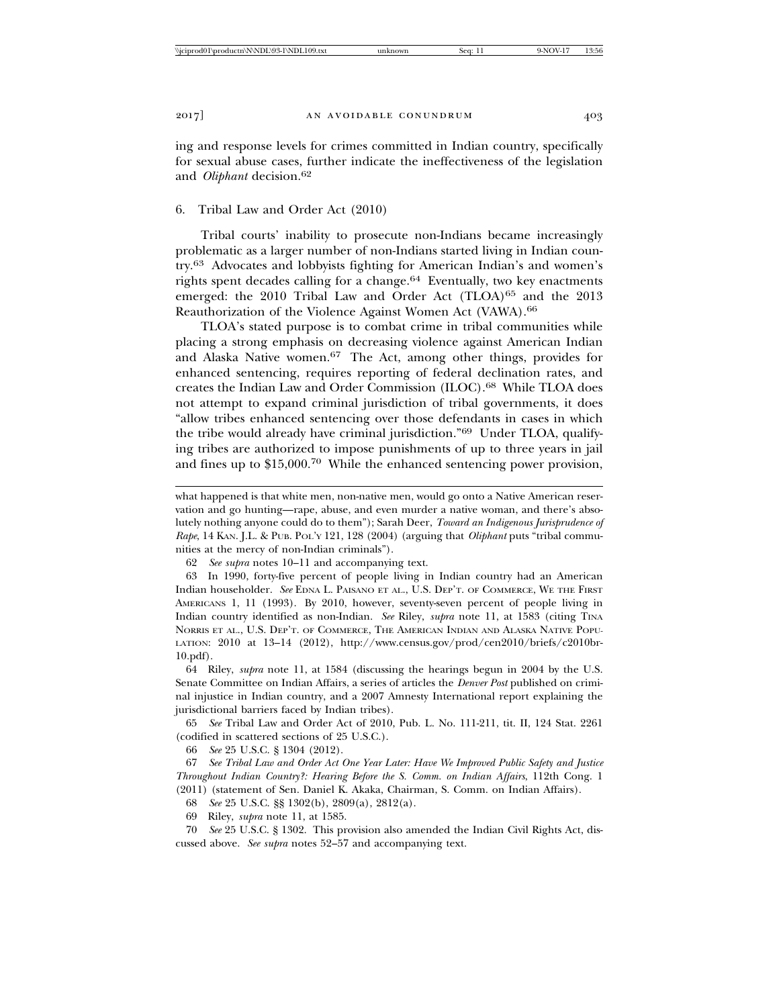ing and response levels for crimes committed in Indian country, specifically for sexual abuse cases, further indicate the ineffectiveness of the legislation and *Oliphant* decision.<sup>62</sup>

#### 6. Tribal Law and Order Act (2010)

Tribal courts' inability to prosecute non-Indians became increasingly problematic as a larger number of non-Indians started living in Indian country.63 Advocates and lobbyists fighting for American Indian's and women's rights spent decades calling for a change. $64$  Eventually, two key enactments emerged: the 2010 Tribal Law and Order Act (TLOA)<sup>65</sup> and the 2013 Reauthorization of the Violence Against Women Act (VAWA).<sup>66</sup>

TLOA's stated purpose is to combat crime in tribal communities while placing a strong emphasis on decreasing violence against American Indian and Alaska Native women.67 The Act, among other things, provides for enhanced sentencing, requires reporting of federal declination rates, and creates the Indian Law and Order Commission (ILOC).68 While TLOA does not attempt to expand criminal jurisdiction of tribal governments, it does "allow tribes enhanced sentencing over those defendants in cases in which the tribe would already have criminal jurisdiction."69 Under TLOA, qualifying tribes are authorized to impose punishments of up to three years in jail and fines up to \$15,000.70 While the enhanced sentencing power provision,

63 In 1990, forty-five percent of people living in Indian country had an American Indian householder. *See* EDNA L. PAISANO ET AL., U.S. DEP'T. OF COMMERCE, WE THE FIRST AMERICANS 1, 11 (1993). By 2010, however, seventy-seven percent of people living in Indian country identified as non-Indian. See Riley, *supra* note 11, at 1583 (citing TINA NORRIS ET AL., U.S. DEP'T. OF COMMERCE, THE AMERICAN INDIAN AND ALASKA NATIVE POPU-LATION: 2010 at 13–14 (2012), http://www.census.gov/prod/cen2010/briefs/c2010br-10.pdf).

64 Riley, *supra* note 11, at 1584 (discussing the hearings begun in 2004 by the U.S. Senate Committee on Indian Affairs, a series of articles the *Denver Post* published on criminal injustice in Indian country, and a 2007 Amnesty International report explaining the jurisdictional barriers faced by Indian tribes).

65 *See* Tribal Law and Order Act of 2010, Pub. L. No. 111-211, tit. II, 124 Stat. 2261 (codified in scattered sections of 25 U.S.C.).

66 *See* 25 U.S.C. § 1304 (2012).

67 *See Tribal Law and Order Act One Year Later: Have We Improved Public Safety and Justice Throughout Indian Country?: Hearing Before the S. Comm. on Indian Affairs*, 112th Cong. 1 (2011) (statement of Sen. Daniel K. Akaka, Chairman, S. Comm. on Indian Affairs).

68 *See* 25 U.S.C. §§ 1302(b), 2809(a), 2812(a).

69 Riley, *supra* note 11, at 1585.

70 *See* 25 U.S.C. § 1302. This provision also amended the Indian Civil Rights Act, discussed above. *See supra* notes 52–57 and accompanying text.

what happened is that white men, non-native men, would go onto a Native American reservation and go hunting—rape, abuse, and even murder a native woman, and there's absolutely nothing anyone could do to them"); Sarah Deer, *Toward an Indigenous Jurisprudence of Rape*, 14 KAN. J.L. & PUB. POL'Y 121, 128 (2004) (arguing that *Oliphant* puts "tribal communities at the mercy of non-Indian criminals").

<sup>62</sup> *See supra* notes 10–11 and accompanying text.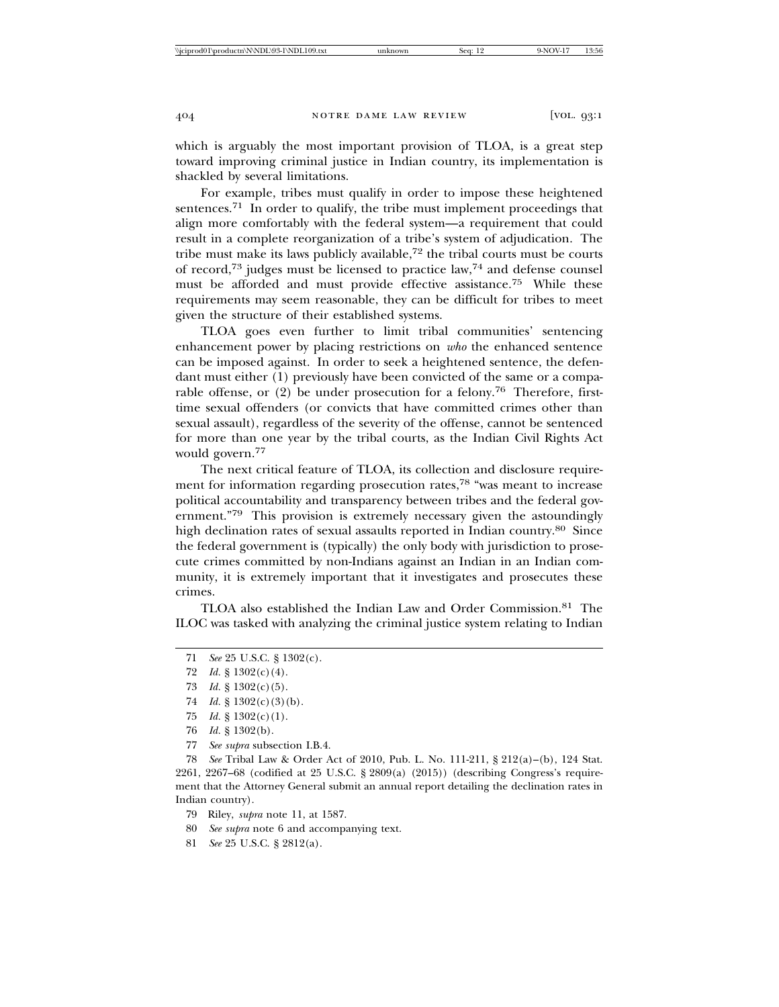which is arguably the most important provision of TLOA, is a great step toward improving criminal justice in Indian country, its implementation is shackled by several limitations.

For example, tribes must qualify in order to impose these heightened sentences.<sup>71</sup> In order to qualify, the tribe must implement proceedings that align more comfortably with the federal system—a requirement that could result in a complete reorganization of a tribe's system of adjudication. The tribe must make its laws publicly available, $72$  the tribal courts must be courts of record,73 judges must be licensed to practice law,74 and defense counsel must be afforded and must provide effective assistance.75 While these requirements may seem reasonable, they can be difficult for tribes to meet given the structure of their established systems.

TLOA goes even further to limit tribal communities' sentencing enhancement power by placing restrictions on *who* the enhanced sentence can be imposed against. In order to seek a heightened sentence, the defendant must either (1) previously have been convicted of the same or a comparable offense, or (2) be under prosecution for a felony.76 Therefore, firsttime sexual offenders (or convicts that have committed crimes other than sexual assault), regardless of the severity of the offense, cannot be sentenced for more than one year by the tribal courts, as the Indian Civil Rights Act would govern.<sup>77</sup>

The next critical feature of TLOA, its collection and disclosure requirement for information regarding prosecution rates,<sup>78</sup> "was meant to increase political accountability and transparency between tribes and the federal government."79 This provision is extremely necessary given the astoundingly high declination rates of sexual assaults reported in Indian country.<sup>80</sup> Since the federal government is (typically) the only body with jurisdiction to prosecute crimes committed by non-Indians against an Indian in an Indian community, it is extremely important that it investigates and prosecutes these crimes.

TLOA also established the Indian Law and Order Commission.81 The ILOC was tasked with analyzing the criminal justice system relating to Indian

- 73 *Id.* § 1302(c)(5).
- 74 *Id.* § 1302(c)(3)(b).
- 75 *Id.* § 1302(c)(1).
- 76 *Id.* § 1302(b).
- 77 *See supra* subsection I.B.4.

78 *See* Tribal Law & Order Act of 2010, Pub. L. No. 111-211, § 212(a)–(b), 124 Stat. 2261, 2267–68 (codified at 25 U.S.C. § 2809(a) (2015)) (describing Congress's requirement that the Attorney General submit an annual report detailing the declination rates in Indian country).

- 79 Riley, *supra* note 11, at 1587.
- 80 *See supra* note 6 and accompanying text.
- 81 *See* 25 U.S.C. § 2812(a).

<sup>71</sup> *See* 25 U.S.C. § 1302(c).

<sup>72</sup> *Id.* § 1302(c)(4).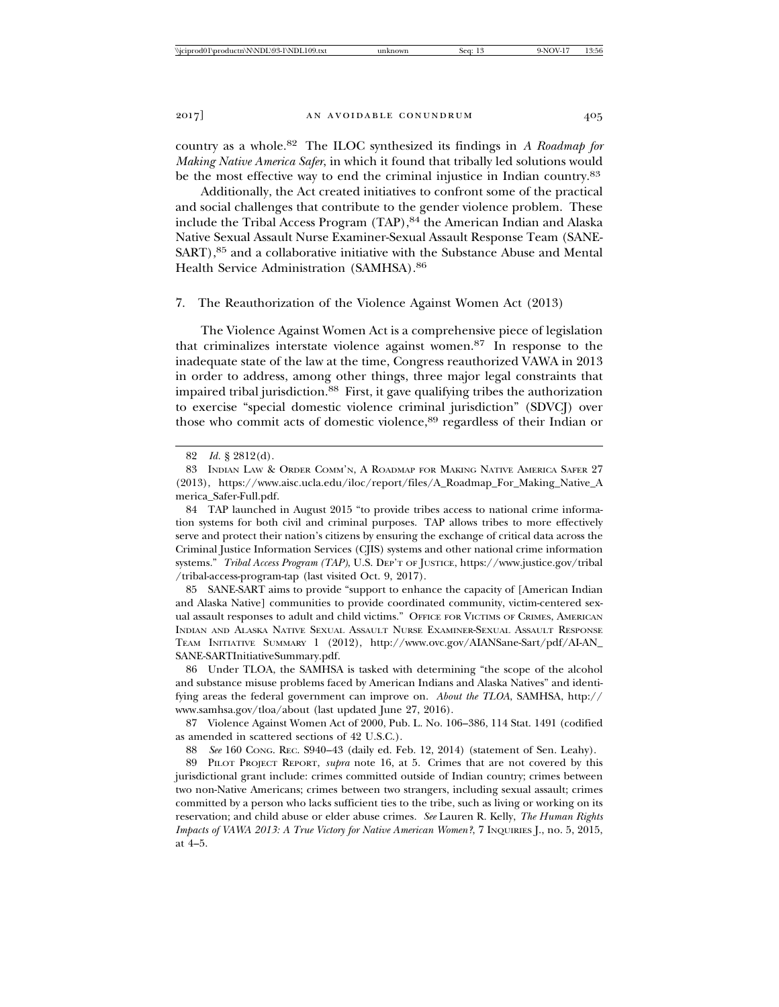country as a whole.82 The ILOC synthesized its findings in *A Roadmap for Making Native America Safer*, in which it found that tribally led solutions would be the most effective way to end the criminal injustice in Indian country.<sup>83</sup>

Additionally, the Act created initiatives to confront some of the practical and social challenges that contribute to the gender violence problem. These include the Tribal Access Program (TAP), <sup>84</sup> the American Indian and Alaska Native Sexual Assault Nurse Examiner-Sexual Assault Response Team (SANE-SART),<sup>85</sup> and a collaborative initiative with the Substance Abuse and Mental Health Service Administration (SAMHSA).<sup>86</sup>

# 7. The Reauthorization of the Violence Against Women Act (2013)

The Violence Against Women Act is a comprehensive piece of legislation that criminalizes interstate violence against women.87 In response to the inadequate state of the law at the time, Congress reauthorized VAWA in 2013 in order to address, among other things, three major legal constraints that impaired tribal jurisdiction.88 First, it gave qualifying tribes the authorization to exercise "special domestic violence criminal jurisdiction" (SDVCJ) over those who commit acts of domestic violence,<sup>89</sup> regardless of their Indian or

85 SANE-SART aims to provide "support to enhance the capacity of [American Indian and Alaska Native] communities to provide coordinated community, victim-centered sexual assault responses to adult and child victims." OFFICE FOR VICTIMS OF CRIMES, AMERICAN INDIAN AND ALASKA NATIVE SEXUAL ASSAULT NURSE EXAMINER-SEXUAL ASSAULT RESPONSE TEAM INITIATIVE SUMMARY 1 (2012), http://www.ovc.gov/AIANSane-Sart/pdf/AI-AN\_ SANE-SARTInitiativeSummary.pdf.

86 Under TLOA, the SAMHSA is tasked with determining "the scope of the alcohol and substance misuse problems faced by American Indians and Alaska Natives" and identifying areas the federal government can improve on. *About the TLOA*, SAMHSA, http:// www.samhsa.gov/tloa/about (last updated June 27, 2016).

87 Violence Against Women Act of 2000, Pub. L. No. 106–386, 114 Stat. 1491 (codified as amended in scattered sections of 42 U.S.C.).

88 *See* 160 CONG. REC. S940–43 (daily ed. Feb. 12, 2014) (statement of Sen. Leahy).

89 PILOT PROJECT REPORT, *supra* note 16, at 5. Crimes that are not covered by this jurisdictional grant include: crimes committed outside of Indian country; crimes between two non-Native Americans; crimes between two strangers, including sexual assault; crimes committed by a person who lacks sufficient ties to the tribe, such as living or working on its reservation; and child abuse or elder abuse crimes. *See* Lauren R. Kelly, *The Human Rights Impacts of VAWA 2013: A True Victory for Native American Women?*, 7 INQUIRIES J., no. 5, 2015, at 4–5.

<sup>82</sup> *Id.* § 2812(d).

<sup>83</sup> INDIAN LAW & ORDER COMM'N, A ROADMAP FOR MAKING NATIVE AMERICA SAFER 27 (2013), https://www.aisc.ucla.edu/iloc/report/files/A\_Roadmap\_For\_Making\_Native\_A merica\_Safer-Full.pdf.

<sup>84</sup> TAP launched in August 2015 "to provide tribes access to national crime information systems for both civil and criminal purposes. TAP allows tribes to more effectively serve and protect their nation's citizens by ensuring the exchange of critical data across the Criminal Justice Information Services (CJIS) systems and other national crime information systems." *Tribal Access Program (TAP)*, U.S. DEP'T OF JUSTICE, https://www.justice.gov/tribal /tribal-access-program-tap (last visited Oct. 9, 2017).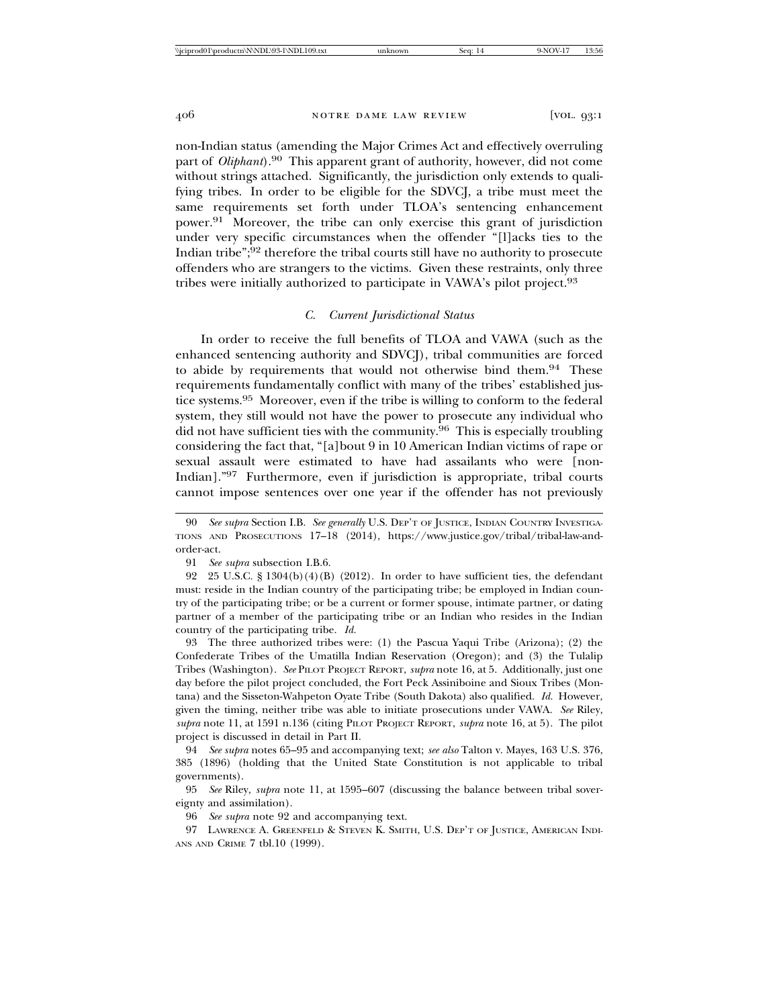non-Indian status (amending the Major Crimes Act and effectively overruling part of *Oliphant*).90 This apparent grant of authority, however, did not come without strings attached. Significantly, the jurisdiction only extends to qualifying tribes. In order to be eligible for the SDVCJ, a tribe must meet the same requirements set forth under TLOA's sentencing enhancement power.91 Moreover, the tribe can only exercise this grant of jurisdiction under very specific circumstances when the offender "[l]acks ties to the Indian tribe";92 therefore the tribal courts still have no authority to prosecute offenders who are strangers to the victims. Given these restraints, only three tribes were initially authorized to participate in VAWA's pilot project.<sup>93</sup>

# *C. Current Jurisdictional Status*

In order to receive the full benefits of TLOA and VAWA (such as the enhanced sentencing authority and SDVCJ), tribal communities are forced to abide by requirements that would not otherwise bind them.<sup>94</sup> These requirements fundamentally conflict with many of the tribes' established justice systems.95 Moreover, even if the tribe is willing to conform to the federal system, they still would not have the power to prosecute any individual who did not have sufficient ties with the community.  $96$  This is especially troubling considering the fact that, "[a]bout 9 in 10 American Indian victims of rape or sexual assault were estimated to have had assailants who were [non-Indian]."97 Furthermore, even if jurisdiction is appropriate, tribal courts cannot impose sentences over one year if the offender has not previously

93 The three authorized tribes were: (1) the Pascua Yaqui Tribe (Arizona); (2) the Confederate Tribes of the Umatilla Indian Reservation (Oregon); and (3) the Tulalip Tribes (Washington). *See* PILOT PROJECT REPORT, *supra* note 16, at 5. Additionally, just one day before the pilot project concluded, the Fort Peck Assiniboine and Sioux Tribes (Montana) and the Sisseton-Wahpeton Oyate Tribe (South Dakota) also qualified. *Id.* However, given the timing, neither tribe was able to initiate prosecutions under VAWA. *See* Riley, *supra* note 11, at 1591 n.136 (citing PILOT PROJECT REPORT, *supra* note 16, at 5). The pilot project is discussed in detail in Part II.

94 *See supra* notes 65–95 and accompanying text; *see also* Talton v. Mayes, 163 U.S. 376, 385 (1896) (holding that the United State Constitution is not applicable to tribal governments).

95 *See* Riley, *supra* note 11, at 1595–607 (discussing the balance between tribal sovereignty and assimilation).

96 *See supra* note 92 and accompanying text.

97 LAWRENCE A. GREENFELD & STEVEN K. SMITH, U.S. DEP'T OF JUSTICE, AMERICAN INDI-ANS AND CRIME 7 tbl.10 (1999).

<sup>90</sup> *See supra* Section I.B. *See generally* U.S. DEP'T OF JUSTICE, INDIAN COUNTRY INVESTIGA-TIONS AND PROSECUTIONS 17–18 (2014), https://www.justice.gov/tribal/tribal-law-andorder-act.

<sup>91</sup> *See supra* subsection I.B.6.

<sup>92 25</sup> U.S.C. §  $1304(b)(4)(B)(2012)$ . In order to have sufficient ties, the defendant must: reside in the Indian country of the participating tribe; be employed in Indian country of the participating tribe; or be a current or former spouse, intimate partner, or dating partner of a member of the participating tribe or an Indian who resides in the Indian country of the participating tribe. *Id.*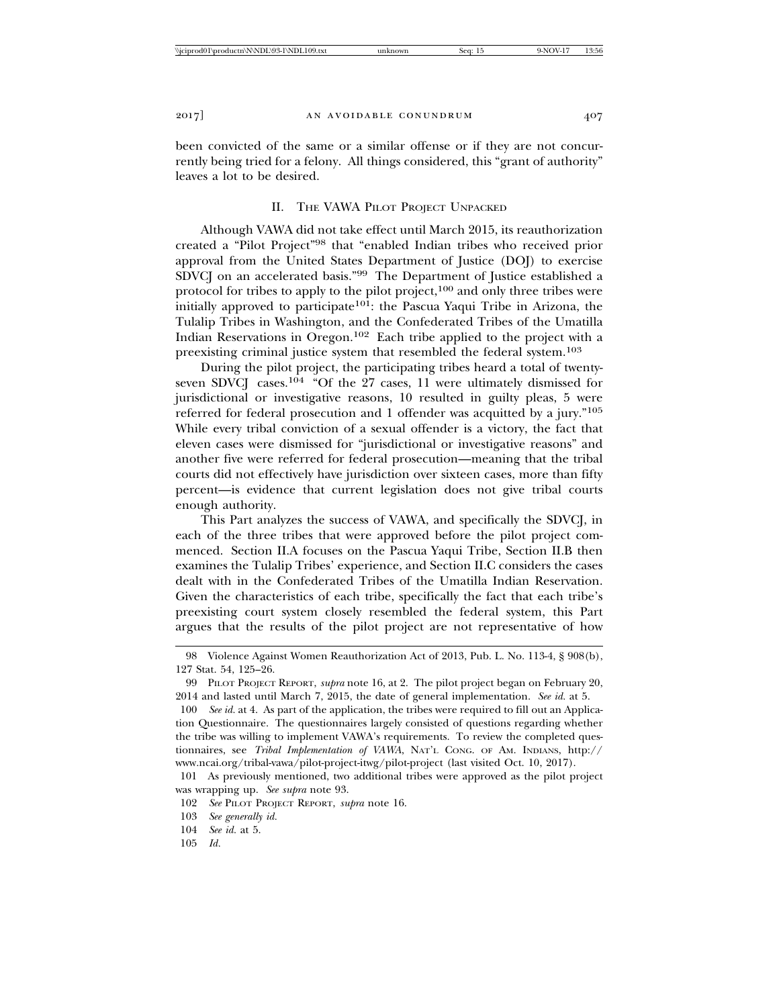been convicted of the same or a similar offense or if they are not concurrently being tried for a felony. All things considered, this "grant of authority" leaves a lot to be desired.

# II. THE VAWA PILOT PROJECT UNPACKED

Although VAWA did not take effect until March 2015, its reauthorization created a "Pilot Project"98 that "enabled Indian tribes who received prior approval from the United States Department of Justice (DOJ) to exercise SDVCJ on an accelerated basis."99 The Department of Justice established a protocol for tribes to apply to the pilot project, $100$  and only three tribes were initially approved to participate<sup>101</sup>: the Pascua Yaqui Tribe in Arizona, the Tulalip Tribes in Washington, and the Confederated Tribes of the Umatilla Indian Reservations in Oregon.102 Each tribe applied to the project with a preexisting criminal justice system that resembled the federal system.<sup>103</sup>

During the pilot project, the participating tribes heard a total of twentyseven SDVCJ cases.104 "Of the 27 cases, 11 were ultimately dismissed for jurisdictional or investigative reasons, 10 resulted in guilty pleas, 5 were referred for federal prosecution and 1 offender was acquitted by a jury."<sup>105</sup> While every tribal conviction of a sexual offender is a victory, the fact that eleven cases were dismissed for "jurisdictional or investigative reasons" and another five were referred for federal prosecution—meaning that the tribal courts did not effectively have jurisdiction over sixteen cases, more than fifty percent—is evidence that current legislation does not give tribal courts enough authority.

This Part analyzes the success of VAWA, and specifically the SDVCJ, in each of the three tribes that were approved before the pilot project commenced. Section II.A focuses on the Pascua Yaqui Tribe, Section II.B then examines the Tulalip Tribes' experience, and Section II.C considers the cases dealt with in the Confederated Tribes of the Umatilla Indian Reservation. Given the characteristics of each tribe, specifically the fact that each tribe's preexisting court system closely resembled the federal system, this Part argues that the results of the pilot project are not representative of how

<sup>98</sup> Violence Against Women Reauthorization Act of 2013, Pub. L. No. 113-4, § 908(b), 127 Stat. 54, 125–26.

<sup>99</sup> PILOT PROJECT REPORT, *supra* note 16, at 2. The pilot project began on February 20, 2014 and lasted until March 7, 2015, the date of general implementation. *See id.* at 5.

<sup>100</sup> *See id.* at 4. As part of the application, the tribes were required to fill out an Application Questionnaire. The questionnaires largely consisted of questions regarding whether the tribe was willing to implement VAWA's requirements. To review the completed questionnaires, see *Tribal Implementation of VAWA*, NAT'L CONG. OF AM. INDIANS, http:// www.ncai.org/tribal-vawa/pilot-project-itwg/pilot-project (last visited Oct. 10, 2017).

<sup>101</sup> As previously mentioned, two additional tribes were approved as the pilot project was wrapping up. *See supra* note 93.

<sup>102</sup> *See* PILOT PROJECT REPORT, *supra* note 16.

<sup>103</sup> *See generally id.*

<sup>104</sup> *See id.* at 5.

<sup>105</sup> *Id.*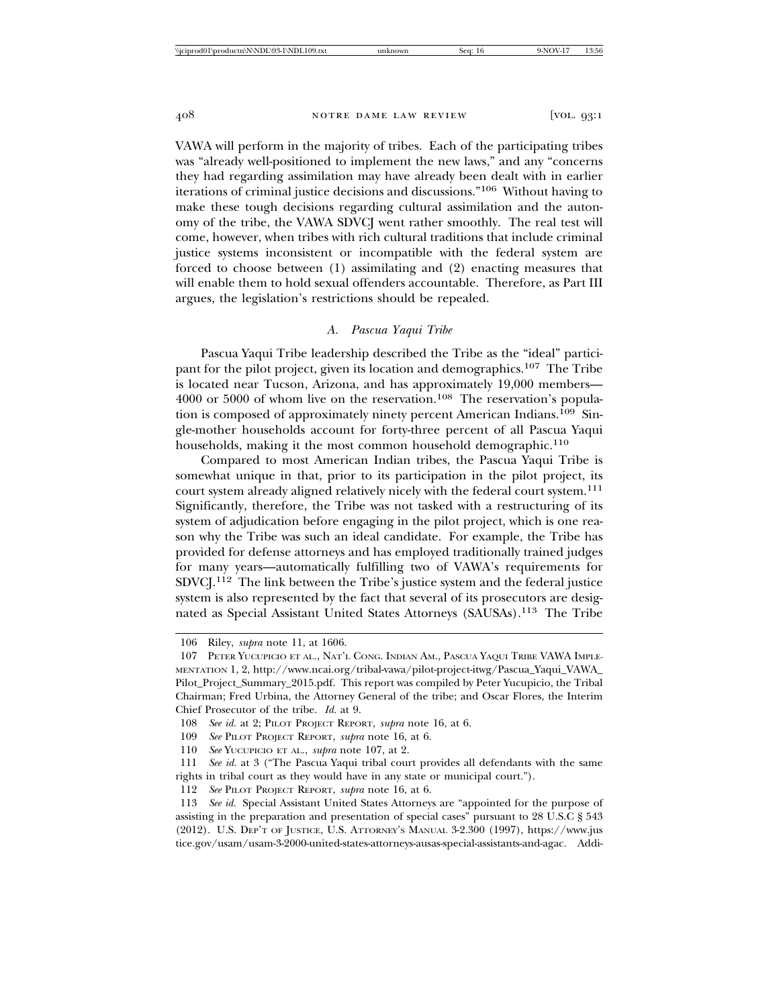VAWA will perform in the majority of tribes. Each of the participating tribes was "already well-positioned to implement the new laws," and any "concerns they had regarding assimilation may have already been dealt with in earlier iterations of criminal justice decisions and discussions."106 Without having to make these tough decisions regarding cultural assimilation and the autonomy of the tribe, the VAWA SDVCJ went rather smoothly. The real test will come, however, when tribes with rich cultural traditions that include criminal justice systems inconsistent or incompatible with the federal system are forced to choose between (1) assimilating and (2) enacting measures that will enable them to hold sexual offenders accountable. Therefore, as Part III argues, the legislation's restrictions should be repealed.

### *A. Pascua Yaqui Tribe*

Pascua Yaqui Tribe leadership described the Tribe as the "ideal" participant for the pilot project, given its location and demographics.107 The Tribe is located near Tucson, Arizona, and has approximately 19,000 members— 4000 or 5000 of whom live on the reservation.<sup>108</sup> The reservation's population is composed of approximately ninety percent American Indians.109 Single-mother households account for forty-three percent of all Pascua Yaqui households, making it the most common household demographic.<sup>110</sup>

Compared to most American Indian tribes, the Pascua Yaqui Tribe is somewhat unique in that, prior to its participation in the pilot project, its court system already aligned relatively nicely with the federal court system.<sup>111</sup> Significantly, therefore, the Tribe was not tasked with a restructuring of its system of adjudication before engaging in the pilot project, which is one reason why the Tribe was such an ideal candidate. For example, the Tribe has provided for defense attorneys and has employed traditionally trained judges for many years—automatically fulfilling two of VAWA's requirements for SDVCJ.112 The link between the Tribe's justice system and the federal justice system is also represented by the fact that several of its prosecutors are designated as Special Assistant United States Attorneys (SAUSAs).113 The Tribe

110 *See* YUCUPICIO ET AL., *supra* note 107, at 2.

<sup>106</sup> Riley, *supra* note 11, at 1606.

<sup>107</sup> PETER YUCUPICIO ET AL., NAT'L CONG. INDIAN AM., PASCUA YAQUI TRIBE VAWA IMPLE-MENTATION 1, 2, http://www.ncai.org/tribal-vawa/pilot-project-itwg/Pascua\_Yaqui\_VAWA\_ Pilot\_Project\_Summary\_2015.pdf. This report was compiled by Peter Yucupicio, the Tribal Chairman; Fred Urbina, the Attorney General of the tribe; and Oscar Flores, the Interim Chief Prosecutor of the tribe. *Id.* at 9.

<sup>108</sup> *See id.* at 2; PILOT PROJECT REPORT, *supra* note 16, at 6.

<sup>109</sup> *See* PILOT PROJECT REPORT, *supra* note 16, at 6.

<sup>111</sup> *See id.* at 3 ("The Pascua Yaqui tribal court provides all defendants with the same rights in tribal court as they would have in any state or municipal court.").

<sup>112</sup> *See* PILOT PROJECT REPORT, *supra* note 16, at 6.

<sup>113</sup> *See id.* Special Assistant United States Attorneys are "appointed for the purpose of assisting in the preparation and presentation of special cases" pursuant to 28 U.S.C § 543 (2012). U.S. DEP'T OF JUSTICE, U.S. ATTORNEY'S MANUAL 3-2.300 (1997), https://www.jus tice.gov/usam/usam-3-2000-united-states-attorneys-ausas-special-assistants-and-agac. Addi-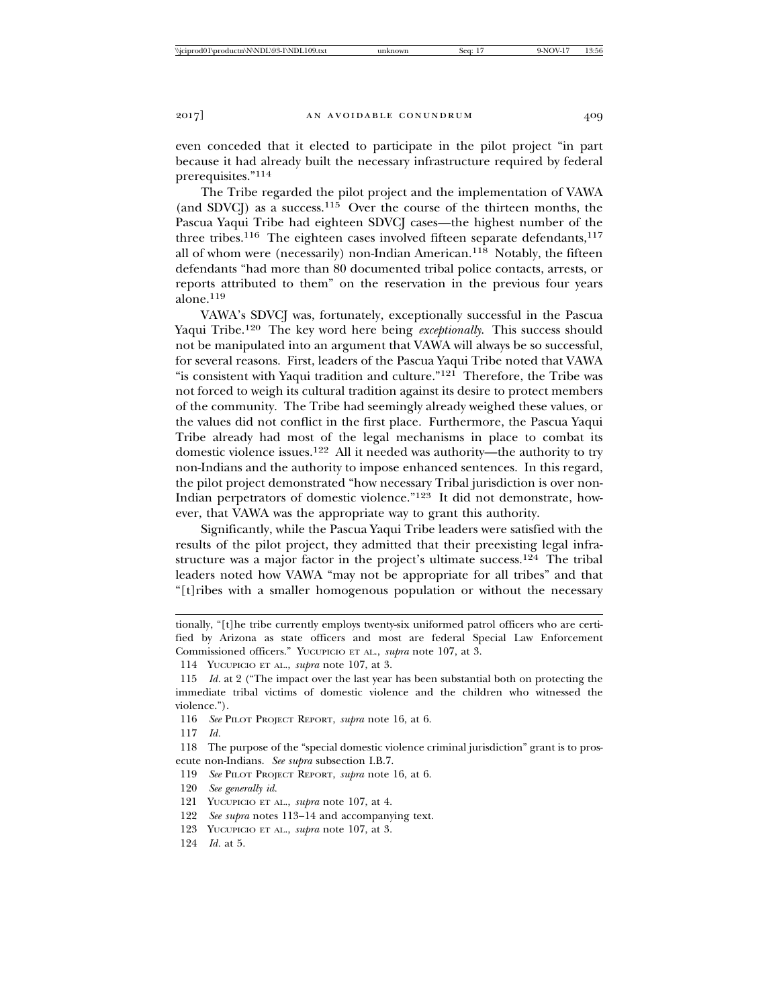even conceded that it elected to participate in the pilot project "in part because it had already built the necessary infrastructure required by federal prerequisites."114

The Tribe regarded the pilot project and the implementation of VAWA (and SDVCJ) as a success.<sup>115</sup> Over the course of the thirteen months, the Pascua Yaqui Tribe had eighteen SDVCJ cases—the highest number of the three tribes.<sup>116</sup> The eighteen cases involved fifteen separate defendants,<sup>117</sup> all of whom were (necessarily) non-Indian American.<sup>118</sup> Notably, the fifteen defendants "had more than 80 documented tribal police contacts, arrests, or reports attributed to them" on the reservation in the previous four years alone.119

VAWA's SDVCJ was, fortunately, exceptionally successful in the Pascua Yaqui Tribe.<sup>120</sup> The key word here being *exceptionally*. This success should not be manipulated into an argument that VAWA will always be so successful, for several reasons. First, leaders of the Pascua Yaqui Tribe noted that VAWA "is consistent with Yaqui tradition and culture."<sup>121</sup> Therefore, the Tribe was not forced to weigh its cultural tradition against its desire to protect members of the community. The Tribe had seemingly already weighed these values, or the values did not conflict in the first place. Furthermore, the Pascua Yaqui Tribe already had most of the legal mechanisms in place to combat its domestic violence issues.122 All it needed was authority—the authority to try non-Indians and the authority to impose enhanced sentences. In this regard, the pilot project demonstrated "how necessary Tribal jurisdiction is over non-Indian perpetrators of domestic violence."123 It did not demonstrate, however, that VAWA was the appropriate way to grant this authority.

Significantly, while the Pascua Yaqui Tribe leaders were satisfied with the results of the pilot project, they admitted that their preexisting legal infrastructure was a major factor in the project's ultimate success.<sup>124</sup> The tribal leaders noted how VAWA "may not be appropriate for all tribes" and that "[t]ribes with a smaller homogenous population or without the necessary

117 *Id.*

118 The purpose of the "special domestic violence criminal jurisdiction" grant is to prosecute non-Indians. *See supra* subsection I.B.7.

- 119 *See* PILOT PROJECT REPORT, *supra* note 16, at 6.
- 120 *See generally id.*
- 121 YUCUPICIO ET AL., *supra* note 107, at 4.
- 122 *See supra* notes 113–14 and accompanying text.
- 123 YUCUPICIO ET AL., *supra* note 107, at 3.
- 124 *Id.* at 5.

tionally, "[t]he tribe currently employs twenty-six uniformed patrol officers who are certified by Arizona as state officers and most are federal Special Law Enforcement Commissioned officers." YUCUPICIO ET AL., *supra* note 107, at 3.

<sup>114</sup> YUCUPICIO ET AL., *supra* note 107, at 3.

<sup>115</sup> *Id.* at 2 ("The impact over the last year has been substantial both on protecting the immediate tribal victims of domestic violence and the children who witnessed the violence.").

<sup>116</sup> *See* PILOT PROJECT REPORT, *supra* note 16, at 6.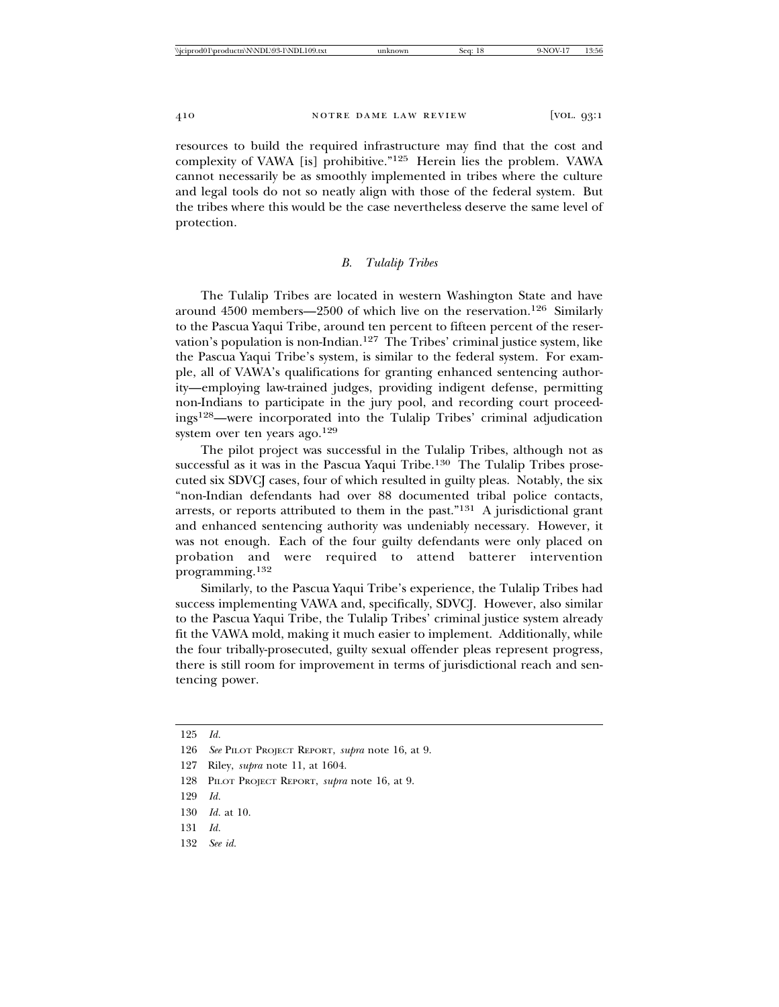resources to build the required infrastructure may find that the cost and complexity of VAWA [is] prohibitive."125 Herein lies the problem. VAWA cannot necessarily be as smoothly implemented in tribes where the culture and legal tools do not so neatly align with those of the federal system. But the tribes where this would be the case nevertheless deserve the same level of protection.

# *B. Tulalip Tribes*

The Tulalip Tribes are located in western Washington State and have around  $4500$  members—2500 of which live on the reservation.<sup>126</sup> Similarly to the Pascua Yaqui Tribe, around ten percent to fifteen percent of the reservation's population is non-Indian.127 The Tribes' criminal justice system, like the Pascua Yaqui Tribe's system, is similar to the federal system. For example, all of VAWA's qualifications for granting enhanced sentencing authority—employing law-trained judges, providing indigent defense, permitting non-Indians to participate in the jury pool, and recording court proceedings128—were incorporated into the Tulalip Tribes' criminal adjudication system over ten years ago.<sup>129</sup>

The pilot project was successful in the Tulalip Tribes, although not as successful as it was in the Pascua Yaqui Tribe.<sup>130</sup> The Tulalip Tribes prosecuted six SDVCJ cases, four of which resulted in guilty pleas. Notably, the six "non-Indian defendants had over 88 documented tribal police contacts, arrests, or reports attributed to them in the past."131 A jurisdictional grant and enhanced sentencing authority was undeniably necessary. However, it was not enough. Each of the four guilty defendants were only placed on probation and were required to attend batterer intervention programming.132

Similarly, to the Pascua Yaqui Tribe's experience, the Tulalip Tribes had success implementing VAWA and, specifically, SDVCJ. However, also similar to the Pascua Yaqui Tribe, the Tulalip Tribes' criminal justice system already fit the VAWA mold, making it much easier to implement. Additionally, while the four tribally-prosecuted, guilty sexual offender pleas represent progress, there is still room for improvement in terms of jurisdictional reach and sentencing power.

132 *See id.*

<sup>125</sup> *Id.*

<sup>126</sup> *See* PILOT PROJECT REPORT, *supra* note 16, at 9.

<sup>127</sup> Riley, *supra* note 11, at 1604.

<sup>128</sup> PILOT PROJECT REPORT, *supra* note 16, at 9.

<sup>129</sup> *Id.*

<sup>130</sup> *Id.* at 10.

<sup>131</sup> *Id.*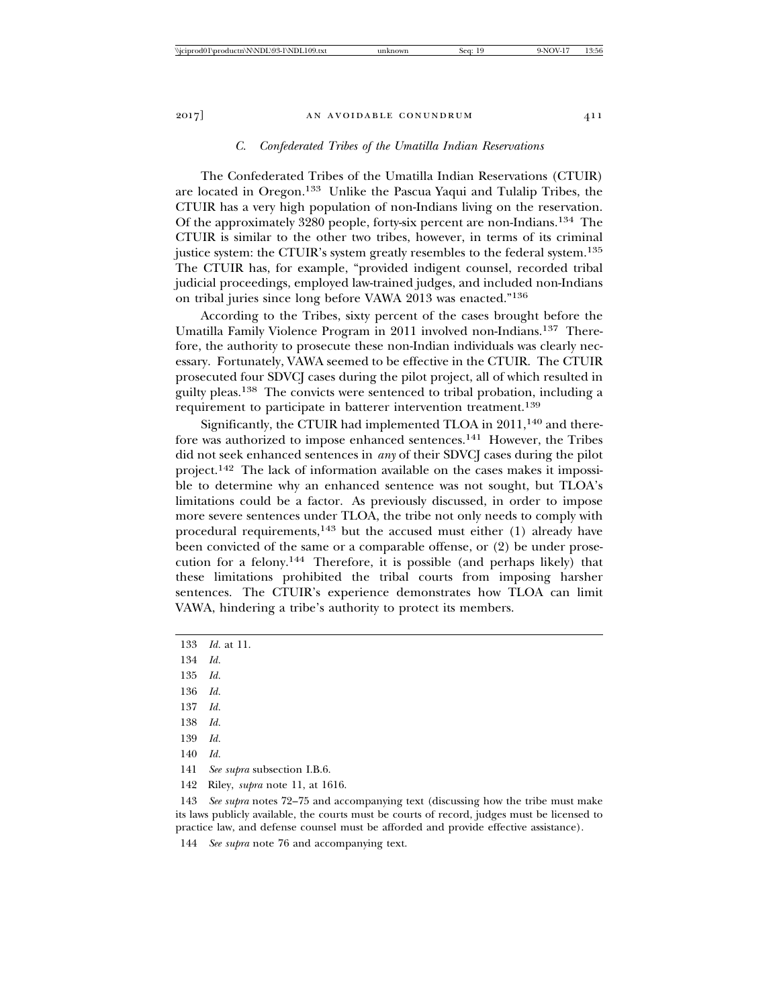#### *C. Confederated Tribes of the Umatilla Indian Reservations*

The Confederated Tribes of the Umatilla Indian Reservations (CTUIR) are located in Oregon.133 Unlike the Pascua Yaqui and Tulalip Tribes, the CTUIR has a very high population of non-Indians living on the reservation. Of the approximately 3280 people, forty-six percent are non-Indians.134 The CTUIR is similar to the other two tribes, however, in terms of its criminal justice system: the CTUIR's system greatly resembles to the federal system.<sup>135</sup> The CTUIR has, for example, "provided indigent counsel, recorded tribal judicial proceedings, employed law-trained judges, and included non-Indians on tribal juries since long before VAWA 2013 was enacted."<sup>136</sup>

According to the Tribes, sixty percent of the cases brought before the Umatilla Family Violence Program in 2011 involved non-Indians.137 Therefore, the authority to prosecute these non-Indian individuals was clearly necessary. Fortunately, VAWA seemed to be effective in the CTUIR. The CTUIR prosecuted four SDVCJ cases during the pilot project, all of which resulted in guilty pleas.138 The convicts were sentenced to tribal probation, including a requirement to participate in batterer intervention treatment.<sup>139</sup>

Significantly, the CTUIR had implemented TLOA in 2011,<sup>140</sup> and therefore was authorized to impose enhanced sentences.141 However, the Tribes did not seek enhanced sentences in *any* of their SDVCJ cases during the pilot project.142 The lack of information available on the cases makes it impossible to determine why an enhanced sentence was not sought, but TLOA's limitations could be a factor. As previously discussed, in order to impose more severe sentences under TLOA, the tribe not only needs to comply with procedural requirements,<sup>143</sup> but the accused must either  $(1)$  already have been convicted of the same or a comparable offense, or (2) be under prosecution for a felony.144 Therefore, it is possible (and perhaps likely) that these limitations prohibited the tribal courts from imposing harsher sentences. The CTUIR's experience demonstrates how TLOA can limit VAWA, hindering a tribe's authority to protect its members.

- 136 *Id.*
- 137 *Id.*
- 138 *Id.*
- 139 *Id.*
- 140 *Id.*
- 141 *See supra* subsection I.B.6.
- 142 Riley, *supra* note 11, at 1616.

143 *See supra* notes 72–75 and accompanying text (discussing how the tribe must make its laws publicly available, the courts must be courts of record, judges must be licensed to practice law, and defense counsel must be afforded and provide effective assistance).

144 *See supra* note 76 and accompanying text.

<sup>133</sup> *Id.* at 11.

<sup>134</sup> *Id.*

<sup>135</sup> *Id.*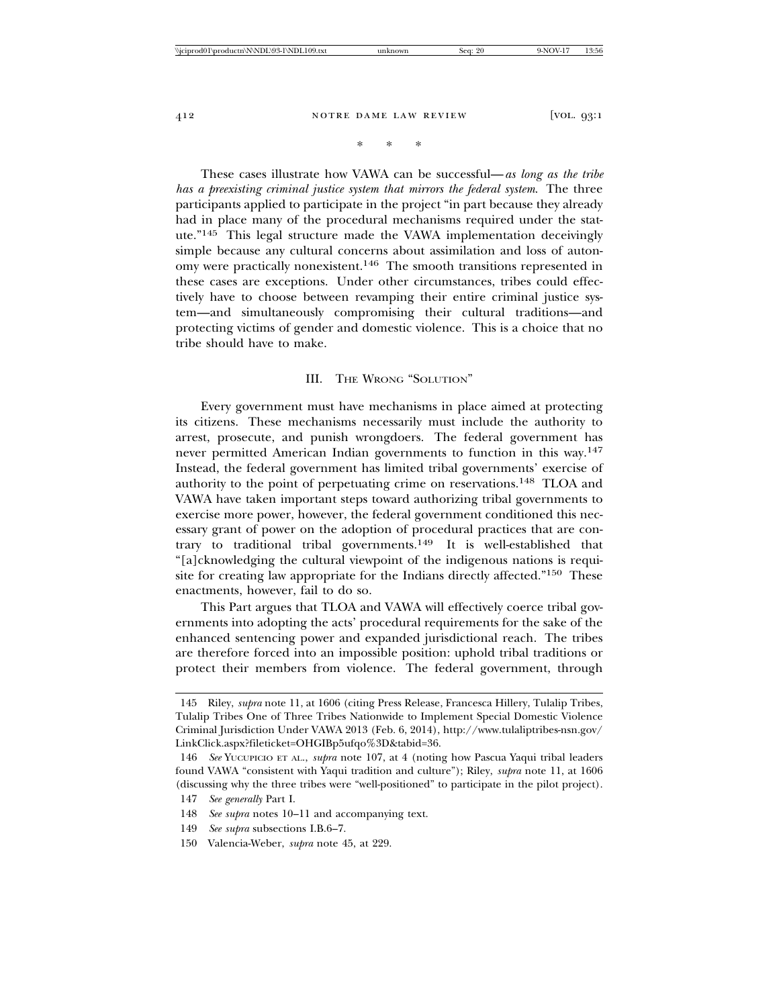\* \* \*

These cases illustrate how VAWA can be successful—*as long as the tribe has a preexisting criminal justice system that mirrors the federal system*. The three participants applied to participate in the project "in part because they already had in place many of the procedural mechanisms required under the statute."145 This legal structure made the VAWA implementation deceivingly simple because any cultural concerns about assimilation and loss of autonomy were practically nonexistent.146 The smooth transitions represented in these cases are exceptions. Under other circumstances, tribes could effectively have to choose between revamping their entire criminal justice system—and simultaneously compromising their cultural traditions—and protecting victims of gender and domestic violence. This is a choice that no tribe should have to make.

#### III. THE WRONG "SOLUTION"

Every government must have mechanisms in place aimed at protecting its citizens. These mechanisms necessarily must include the authority to arrest, prosecute, and punish wrongdoers. The federal government has never permitted American Indian governments to function in this way.<sup>147</sup> Instead, the federal government has limited tribal governments' exercise of authority to the point of perpetuating crime on reservations.148 TLOA and VAWA have taken important steps toward authorizing tribal governments to exercise more power, however, the federal government conditioned this necessary grant of power on the adoption of procedural practices that are contrary to traditional tribal governments.149 It is well-established that "[a]cknowledging the cultural viewpoint of the indigenous nations is requisite for creating law appropriate for the Indians directly affected."150 These enactments, however, fail to do so.

This Part argues that TLOA and VAWA will effectively coerce tribal governments into adopting the acts' procedural requirements for the sake of the enhanced sentencing power and expanded jurisdictional reach. The tribes are therefore forced into an impossible position: uphold tribal traditions or protect their members from violence. The federal government, through

<sup>145</sup> Riley, *supra* note 11, at 1606 (citing Press Release, Francesca Hillery, Tulalip Tribes, Tulalip Tribes One of Three Tribes Nationwide to Implement Special Domestic Violence Criminal Jurisdiction Under VAWA 2013 (Feb. 6, 2014), http://www.tulaliptribes-nsn.gov/ LinkClick.aspx?fileticket=OHGIBp5ufqo%3D&tabid=36.

<sup>146</sup> *See* YUCUPICIO ET AL., *supra* note 107, at 4 (noting how Pascua Yaqui tribal leaders found VAWA "consistent with Yaqui tradition and culture"); Riley, *supra* note 11, at 1606 (discussing why the three tribes were "well-positioned" to participate in the pilot project).

<sup>147</sup> *See generally* Part I.

<sup>148</sup> *See supra* notes 10–11 and accompanying text.

<sup>149</sup> *See supra* subsections I.B.6–7.

<sup>150</sup> Valencia-Weber, *supra* note 45, at 229.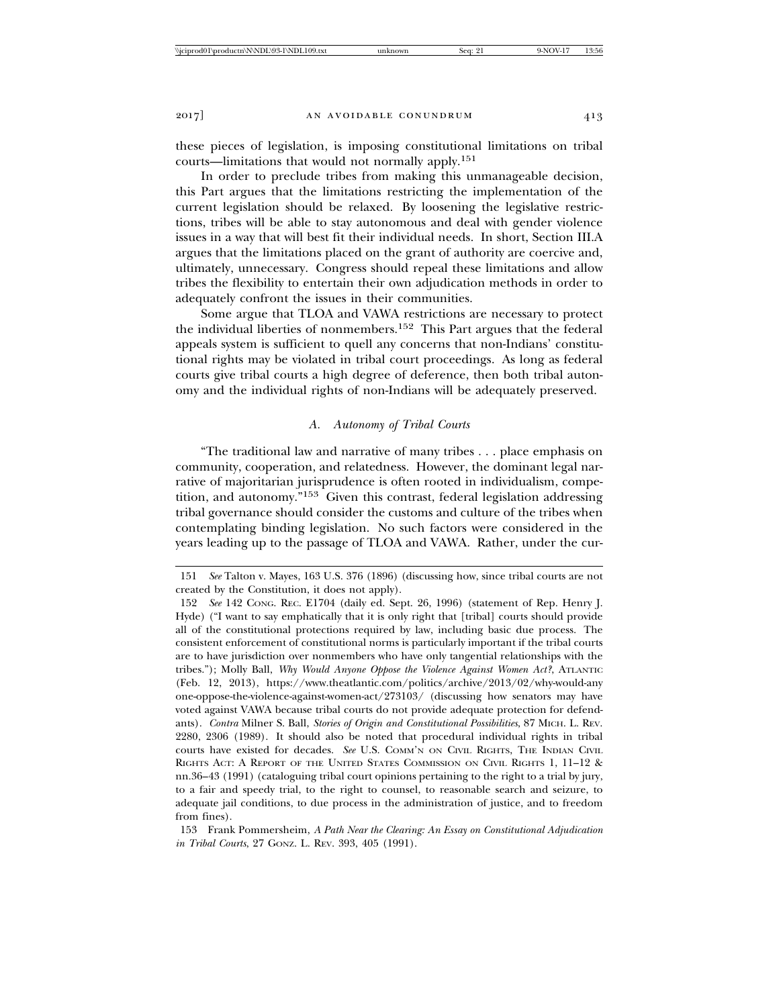these pieces of legislation, is imposing constitutional limitations on tribal courts—limitations that would not normally apply.<sup>151</sup>

In order to preclude tribes from making this unmanageable decision, this Part argues that the limitations restricting the implementation of the current legislation should be relaxed. By loosening the legislative restrictions, tribes will be able to stay autonomous and deal with gender violence issues in a way that will best fit their individual needs. In short, Section III.A argues that the limitations placed on the grant of authority are coercive and, ultimately, unnecessary. Congress should repeal these limitations and allow tribes the flexibility to entertain their own adjudication methods in order to adequately confront the issues in their communities.

Some argue that TLOA and VAWA restrictions are necessary to protect the individual liberties of nonmembers.152 This Part argues that the federal appeals system is sufficient to quell any concerns that non-Indians' constitutional rights may be violated in tribal court proceedings. As long as federal courts give tribal courts a high degree of deference, then both tribal autonomy and the individual rights of non-Indians will be adequately preserved.

# *A. Autonomy of Tribal Courts*

"The traditional law and narrative of many tribes . . . place emphasis on community, cooperation, and relatedness. However, the dominant legal narrative of majoritarian jurisprudence is often rooted in individualism, competition, and autonomy."153 Given this contrast, federal legislation addressing tribal governance should consider the customs and culture of the tribes when contemplating binding legislation. No such factors were considered in the years leading up to the passage of TLOA and VAWA. Rather, under the cur-

153 Frank Pommersheim, *A Path Near the Clearing: An Essay on Constitutional Adjudication in Tribal Courts*, 27 GONZ. L. REV. 393, 405 (1991).

<sup>151</sup> *See* Talton v. Mayes, 163 U.S. 376 (1896) (discussing how, since tribal courts are not created by the Constitution, it does not apply).

<sup>152</sup> *See* 142 CONG. REC. E1704 (daily ed. Sept. 26, 1996) (statement of Rep. Henry J. Hyde) ("I want to say emphatically that it is only right that [tribal] courts should provide all of the constitutional protections required by law, including basic due process. The consistent enforcement of constitutional norms is particularly important if the tribal courts are to have jurisdiction over nonmembers who have only tangential relationships with the tribes."); Molly Ball, *Why Would Anyone Oppose the Violence Against Women Act?*, ATLANTIC (Feb. 12, 2013), https://www.theatlantic.com/politics/archive/2013/02/why-would-any one-oppose-the-violence-against-women-act/273103/ (discussing how senators may have voted against VAWA because tribal courts do not provide adequate protection for defendants). *Contra* Milner S. Ball, *Stories of Origin and Constitutional Possibilities*, 87 MICH. L. REV. 2280, 2306 (1989). It should also be noted that procedural individual rights in tribal courts have existed for decades. *See* U.S. COMM'N ON CIVIL RIGHTS, THE INDIAN CIVIL RIGHTS ACT: A REPORT OF THE UNITED STATES COMMISSION ON CIVIL RIGHTS 1, 11–12 & nn.36–43 (1991) (cataloguing tribal court opinions pertaining to the right to a trial by jury, to a fair and speedy trial, to the right to counsel, to reasonable search and seizure, to adequate jail conditions, to due process in the administration of justice, and to freedom from fines).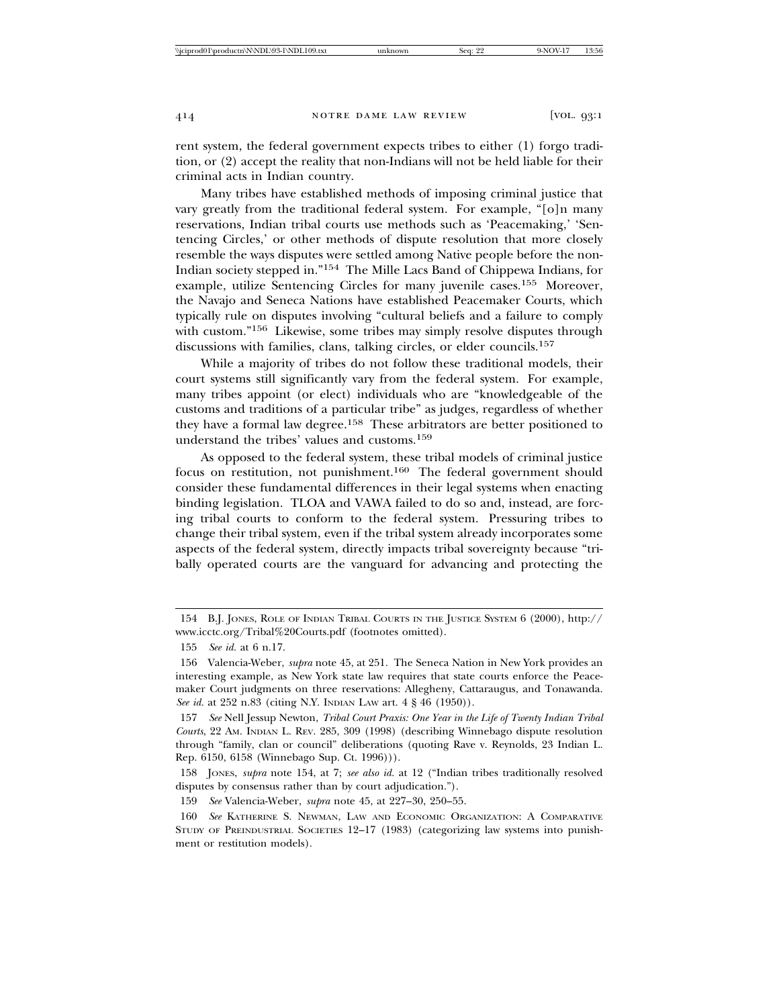rent system, the federal government expects tribes to either (1) forgo tradition, or (2) accept the reality that non-Indians will not be held liable for their criminal acts in Indian country.

Many tribes have established methods of imposing criminal justice that vary greatly from the traditional federal system. For example, "[o]n many reservations, Indian tribal courts use methods such as 'Peacemaking,' 'Sentencing Circles,' or other methods of dispute resolution that more closely resemble the ways disputes were settled among Native people before the non-Indian society stepped in."154 The Mille Lacs Band of Chippewa Indians, for example, utilize Sentencing Circles for many juvenile cases.<sup>155</sup> Moreover, the Navajo and Seneca Nations have established Peacemaker Courts, which typically rule on disputes involving "cultural beliefs and a failure to comply with custom."156 Likewise, some tribes may simply resolve disputes through discussions with families, clans, talking circles, or elder councils.<sup>157</sup>

While a majority of tribes do not follow these traditional models, their court systems still significantly vary from the federal system. For example, many tribes appoint (or elect) individuals who are "knowledgeable of the customs and traditions of a particular tribe" as judges, regardless of whether they have a formal law degree.158 These arbitrators are better positioned to understand the tribes' values and customs.<sup>159</sup>

As opposed to the federal system, these tribal models of criminal justice focus on restitution, not punishment.160 The federal government should consider these fundamental differences in their legal systems when enacting binding legislation. TLOA and VAWA failed to do so and, instead, are forcing tribal courts to conform to the federal system. Pressuring tribes to change their tribal system, even if the tribal system already incorporates some aspects of the federal system, directly impacts tribal sovereignty because "tribally operated courts are the vanguard for advancing and protecting the

<sup>154</sup> B.J. JONES, ROLE OF INDIAN TRIBAL COURTS IN THE JUSTICE SYSTEM 6 (2000), http:// www.icctc.org/Tribal%20Courts.pdf (footnotes omitted).

<sup>155</sup> *See id.* at 6 n.17.

<sup>156</sup> Valencia-Weber, *supra* note 45, at 251. The Seneca Nation in New York provides an interesting example, as New York state law requires that state courts enforce the Peacemaker Court judgments on three reservations: Allegheny, Cattaraugus, and Tonawanda. *See id.* at 252 n.83 (citing N.Y. INDIAN LAW art. 4 § 46 (1950)).

<sup>157</sup> *See* Nell Jessup Newton, *Tribal Court Praxis: One Year in the Life of Twenty Indian Tribal Courts*, 22 AM. INDIAN L. REV. 285, 309 (1998) (describing Winnebago dispute resolution through "family, clan or council" deliberations (quoting Rave v. Reynolds, 23 Indian L. Rep. 6150, 6158 (Winnebago Sup. Ct. 1996))).

<sup>158</sup> JONES, *supra* note 154, at 7; *see also id.* at 12 ("Indian tribes traditionally resolved disputes by consensus rather than by court adjudication.").

<sup>159</sup> *See* Valencia-Weber, *supra* note 45, at 227–30, 250–55.

<sup>160</sup> *See* KATHERINE S. NEWMAN, LAW AND ECONOMIC ORGANIZATION: A COMPARATIVE STUDY OF PREINDUSTRIAL SOCIETIES 12–17 (1983) (categorizing law systems into punishment or restitution models).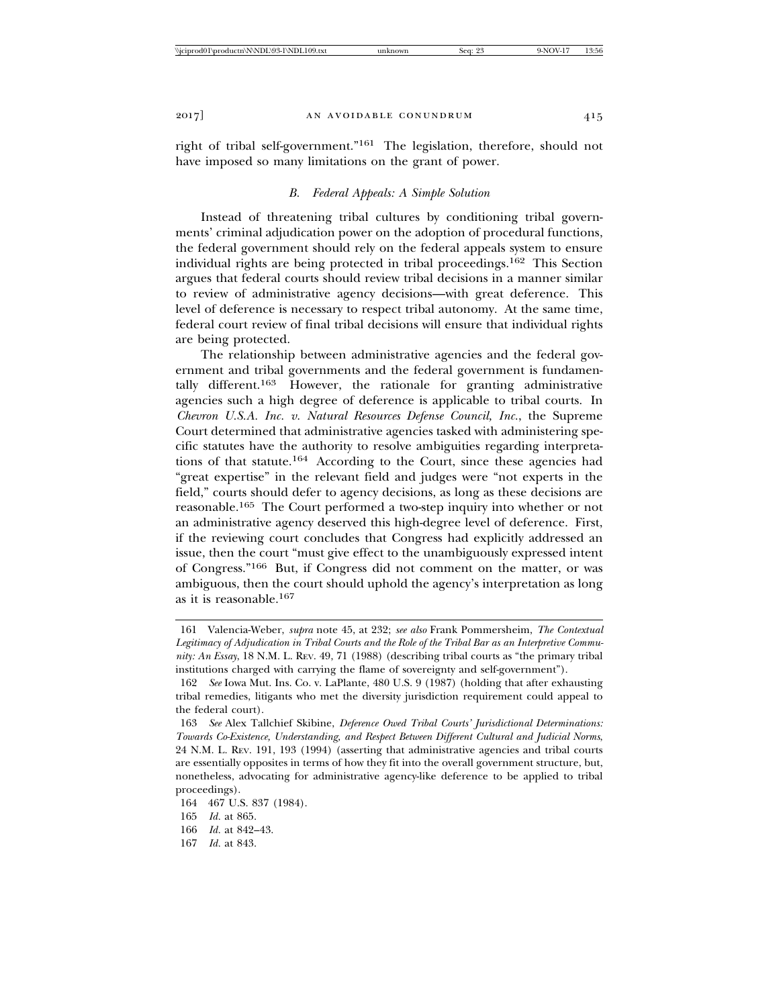right of tribal self-government."161 The legislation, therefore, should not have imposed so many limitations on the grant of power.

# *B. Federal Appeals: A Simple Solution*

Instead of threatening tribal cultures by conditioning tribal governments' criminal adjudication power on the adoption of procedural functions, the federal government should rely on the federal appeals system to ensure individual rights are being protected in tribal proceedings.162 This Section argues that federal courts should review tribal decisions in a manner similar to review of administrative agency decisions—with great deference. This level of deference is necessary to respect tribal autonomy. At the same time, federal court review of final tribal decisions will ensure that individual rights are being protected.

The relationship between administrative agencies and the federal government and tribal governments and the federal government is fundamentally different.163 However, the rationale for granting administrative agencies such a high degree of deference is applicable to tribal courts. In *Chevron U.S.A. Inc. v. Natural Resources Defense Council, Inc.*, the Supreme Court determined that administrative agencies tasked with administering specific statutes have the authority to resolve ambiguities regarding interpretations of that statute.164 According to the Court, since these agencies had "great expertise" in the relevant field and judges were "not experts in the field," courts should defer to agency decisions, as long as these decisions are reasonable.165 The Court performed a two-step inquiry into whether or not an administrative agency deserved this high-degree level of deference. First, if the reviewing court concludes that Congress had explicitly addressed an issue, then the court "must give effect to the unambiguously expressed intent of Congress."166 But, if Congress did not comment on the matter, or was ambiguous, then the court should uphold the agency's interpretation as long as it is reasonable.<sup>167</sup>

<sup>161</sup> Valencia-Weber, *supra* note 45, at 232; *see also* Frank Pommersheim, *The Contextual Legitimacy of Adjudication in Tribal Courts and the Role of the Tribal Bar as an Interpretive Community: An Essay*, 18 N.M. L. REV. 49, 71 (1988) (describing tribal courts as "the primary tribal institutions charged with carrying the flame of sovereignty and self-government").

<sup>162</sup> *See* Iowa Mut. Ins. Co. v. LaPlante, 480 U.S. 9 (1987) (holding that after exhausting tribal remedies, litigants who met the diversity jurisdiction requirement could appeal to the federal court).

<sup>163</sup> *See* Alex Tallchief Skibine, *Deference Owed Tribal Courts' Jurisdictional Determinations: Towards Co-Existence, Understanding, and Respect Between Different Cultural and Judicial Norms*, 24 N.M. L. REV. 191, 193 (1994) (asserting that administrative agencies and tribal courts are essentially opposites in terms of how they fit into the overall government structure, but, nonetheless, advocating for administrative agency-like deference to be applied to tribal proceedings).

<sup>164 467</sup> U.S. 837 (1984).

<sup>165</sup> *Id.* at 865.

<sup>166</sup> *Id.* at 842–43.

<sup>167</sup> *Id.* at 843.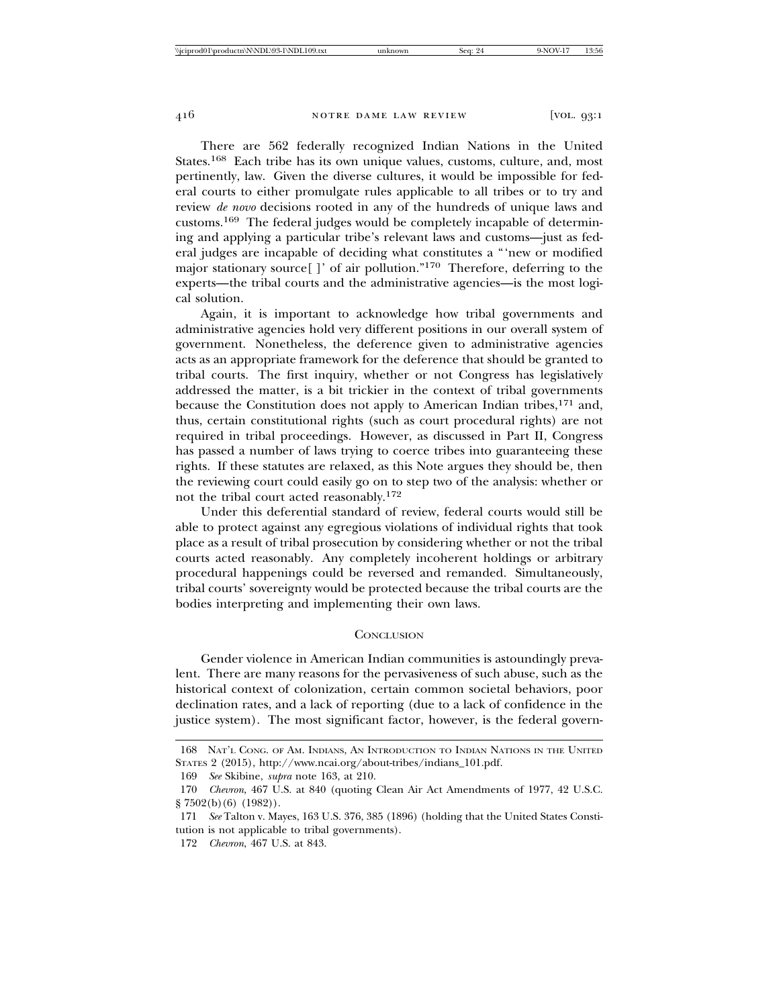There are 562 federally recognized Indian Nations in the United States.168 Each tribe has its own unique values, customs, culture, and, most pertinently, law. Given the diverse cultures, it would be impossible for federal courts to either promulgate rules applicable to all tribes or to try and review *de novo* decisions rooted in any of the hundreds of unique laws and customs.169 The federal judges would be completely incapable of determining and applying a particular tribe's relevant laws and customs—just as federal judges are incapable of deciding what constitutes a "'new or modified major stationary source[ ]' of air pollution."170 Therefore, deferring to the experts—the tribal courts and the administrative agencies—is the most logical solution.

Again, it is important to acknowledge how tribal governments and administrative agencies hold very different positions in our overall system of government. Nonetheless, the deference given to administrative agencies acts as an appropriate framework for the deference that should be granted to tribal courts. The first inquiry, whether or not Congress has legislatively addressed the matter, is a bit trickier in the context of tribal governments because the Constitution does not apply to American Indian tribes,<sup>171</sup> and, thus, certain constitutional rights (such as court procedural rights) are not required in tribal proceedings. However, as discussed in Part II, Congress has passed a number of laws trying to coerce tribes into guaranteeing these rights. If these statutes are relaxed, as this Note argues they should be, then the reviewing court could easily go on to step two of the analysis: whether or not the tribal court acted reasonably.<sup>172</sup>

Under this deferential standard of review, federal courts would still be able to protect against any egregious violations of individual rights that took place as a result of tribal prosecution by considering whether or not the tribal courts acted reasonably. Any completely incoherent holdings or arbitrary procedural happenings could be reversed and remanded. Simultaneously, tribal courts' sovereignty would be protected because the tribal courts are the bodies interpreting and implementing their own laws.

#### **CONCLUSION**

Gender violence in American Indian communities is astoundingly prevalent. There are many reasons for the pervasiveness of such abuse, such as the historical context of colonization, certain common societal behaviors, poor declination rates, and a lack of reporting (due to a lack of confidence in the justice system). The most significant factor, however, is the federal govern-

<sup>168</sup> NAT'L CONG. OF AM. INDIANS, AN INTRODUCTION TO INDIAN NATIONS IN THE UNITED STATES 2 (2015), http://www.ncai.org/about-tribes/indians\_101.pdf.

<sup>169</sup> *See* Skibine, *supra* note 163, at 210.

<sup>170</sup> *Chevron*, 467 U.S. at 840 (quoting Clean Air Act Amendments of 1977, 42 U.S.C. § 7502(b)(6) (1982)).

<sup>171</sup> *See* Talton v. Mayes, 163 U.S. 376, 385 (1896) (holding that the United States Constitution is not applicable to tribal governments).

<sup>172</sup> *Chevron*, 467 U.S. at 843.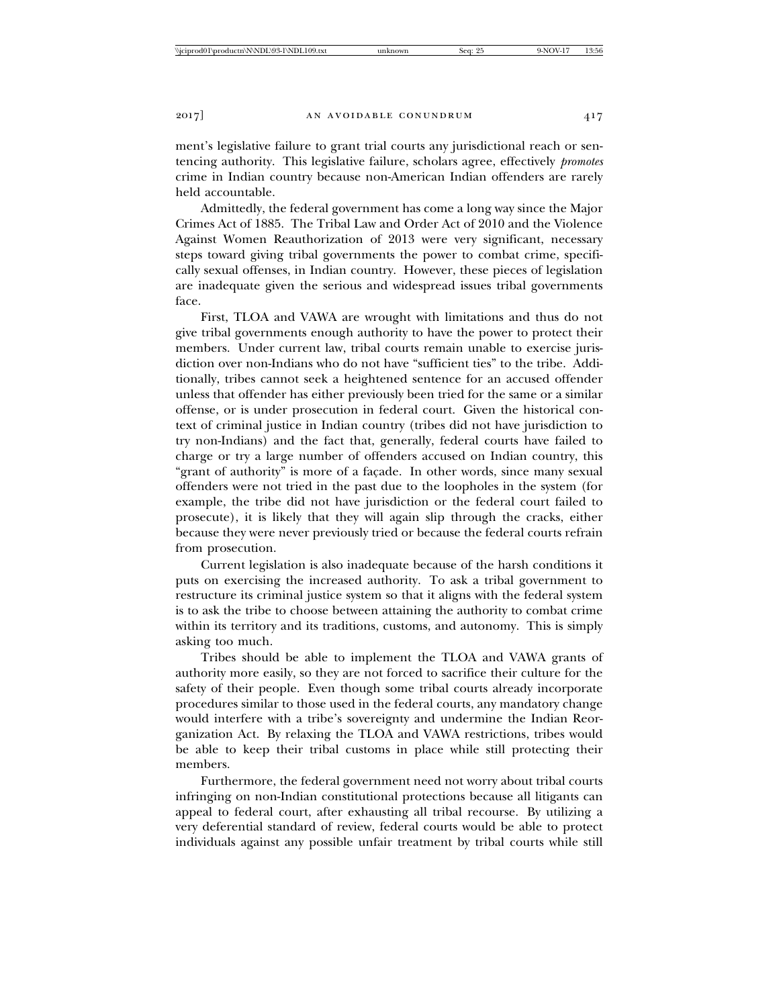ment's legislative failure to grant trial courts any jurisdictional reach or sentencing authority. This legislative failure, scholars agree, effectively *promotes* crime in Indian country because non-American Indian offenders are rarely held accountable.

Admittedly, the federal government has come a long way since the Major Crimes Act of 1885. The Tribal Law and Order Act of 2010 and the Violence Against Women Reauthorization of 2013 were very significant, necessary steps toward giving tribal governments the power to combat crime, specifically sexual offenses, in Indian country. However, these pieces of legislation are inadequate given the serious and widespread issues tribal governments face.

First, TLOA and VAWA are wrought with limitations and thus do not give tribal governments enough authority to have the power to protect their members. Under current law, tribal courts remain unable to exercise jurisdiction over non-Indians who do not have "sufficient ties" to the tribe. Additionally, tribes cannot seek a heightened sentence for an accused offender unless that offender has either previously been tried for the same or a similar offense, or is under prosecution in federal court. Given the historical context of criminal justice in Indian country (tribes did not have jurisdiction to try non-Indians) and the fact that, generally, federal courts have failed to charge or try a large number of offenders accused on Indian country, this "grant of authority" is more of a façade. In other words, since many sexual offenders were not tried in the past due to the loopholes in the system (for example, the tribe did not have jurisdiction or the federal court failed to prosecute), it is likely that they will again slip through the cracks, either because they were never previously tried or because the federal courts refrain from prosecution.

Current legislation is also inadequate because of the harsh conditions it puts on exercising the increased authority. To ask a tribal government to restructure its criminal justice system so that it aligns with the federal system is to ask the tribe to choose between attaining the authority to combat crime within its territory and its traditions, customs, and autonomy. This is simply asking too much.

Tribes should be able to implement the TLOA and VAWA grants of authority more easily, so they are not forced to sacrifice their culture for the safety of their people. Even though some tribal courts already incorporate procedures similar to those used in the federal courts, any mandatory change would interfere with a tribe's sovereignty and undermine the Indian Reorganization Act. By relaxing the TLOA and VAWA restrictions, tribes would be able to keep their tribal customs in place while still protecting their members.

Furthermore, the federal government need not worry about tribal courts infringing on non-Indian constitutional protections because all litigants can appeal to federal court, after exhausting all tribal recourse. By utilizing a very deferential standard of review, federal courts would be able to protect individuals against any possible unfair treatment by tribal courts while still